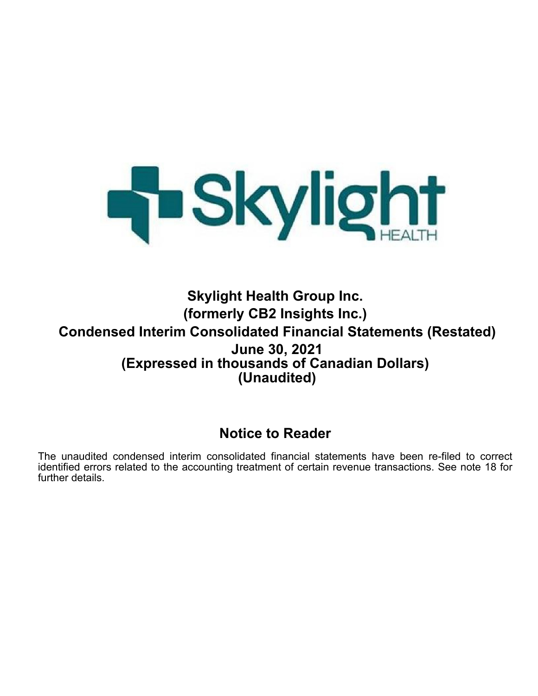

# **Skylight Health Group Inc. (formerly CB2 Insights Inc.) Condensed Interim Consolidated Financial Statements (Restated) June 30, 2021 (Expressed in thousands of Canadian Dollars) (Unaudited)**

# **Notice to Reader**

The unaudited condensed interim consolidated financial statements have been re-filed to correct identified errors related to the accounting treatment of certain revenue transactions. See note 18 for further details.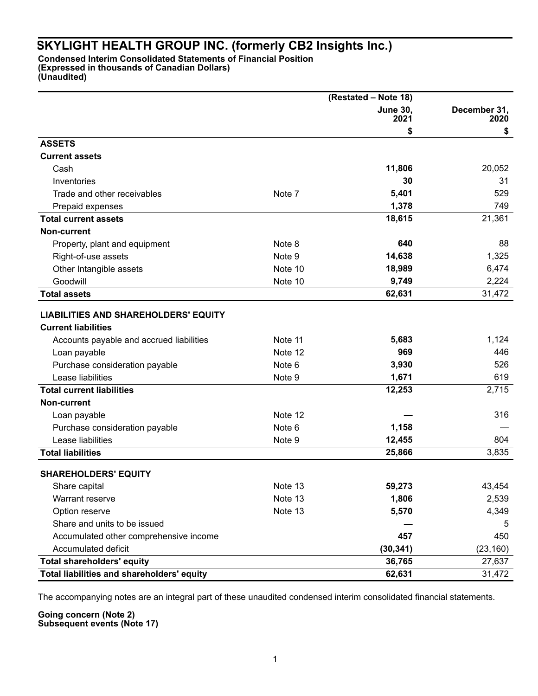# **Condensed Interim Consolidated Statements of Financial Position**

**(Expressed in thousands of Canadian Dollars)**

**(Unaudited)**

|                                             |         | (Restated - Note 18)    |                      |
|---------------------------------------------|---------|-------------------------|----------------------|
|                                             |         | <b>June 30,</b><br>2021 | December 31,<br>2020 |
|                                             |         | \$                      | \$                   |
| <b>ASSETS</b>                               |         |                         |                      |
| <b>Current assets</b>                       |         |                         |                      |
| Cash                                        |         | 11,806                  | 20,052               |
| Inventories                                 |         | 30                      | 31                   |
| Trade and other receivables                 | Note 7  | 5,401                   | 529                  |
| Prepaid expenses                            |         | 1,378                   | 749                  |
| <b>Total current assets</b>                 |         | 18,615                  | 21,361               |
| <b>Non-current</b>                          |         |                         |                      |
| Property, plant and equipment               | Note 8  | 640                     | 88                   |
| Right-of-use assets                         | Note 9  | 14,638                  | 1,325                |
| Other Intangible assets                     | Note 10 | 18,989                  | 6,474                |
| Goodwill                                    | Note 10 | 9,749                   | 2,224                |
| <b>Total assets</b>                         |         | 62,631                  | 31,472               |
|                                             |         |                         |                      |
| <b>LIABILITIES AND SHAREHOLDERS' EQUITY</b> |         |                         |                      |
| <b>Current liabilities</b>                  |         |                         |                      |
| Accounts payable and accrued liabilities    | Note 11 | 5,683                   | 1,124                |
| Loan payable                                | Note 12 | 969                     | 446                  |
| Purchase consideration payable              | Note 6  | 3,930                   | 526                  |
| Lease liabilities                           | Note 9  | 1,671                   | 619                  |
| <b>Total current liabilities</b>            |         | 12,253                  | 2,715                |
| <b>Non-current</b>                          |         |                         |                      |
| Loan payable                                | Note 12 |                         | 316                  |
| Purchase consideration payable              | Note 6  | 1,158                   |                      |
| Lease liabilities                           | Note 9  | 12,455                  | 804                  |
| <b>Total liabilities</b>                    |         | 25,866                  | 3,835                |
| <b>SHAREHOLDERS' EQUITY</b>                 |         |                         |                      |
| Share capital                               | Note 13 | 59,273                  | 43,454               |
| Warrant reserve                             | Note 13 | 1,806                   | 2,539                |
| Option reserve                              | Note 13 | 5,570                   | 4,349                |
| Share and units to be issued                |         |                         | 5                    |
| Accumulated other comprehensive income      |         | 457                     | 450                  |
| Accumulated deficit                         |         | (30, 341)               | (23, 160)            |
| <b>Total shareholders' equity</b>           |         | 36,765                  | 27,637               |
| Total liabilities and shareholders' equity  |         | 62,631                  | 31,472               |

The accompanying notes are an integral part of these unaudited condensed interim consolidated financial statements.

**Going concern (Note 2) Subsequent events (Note 17)**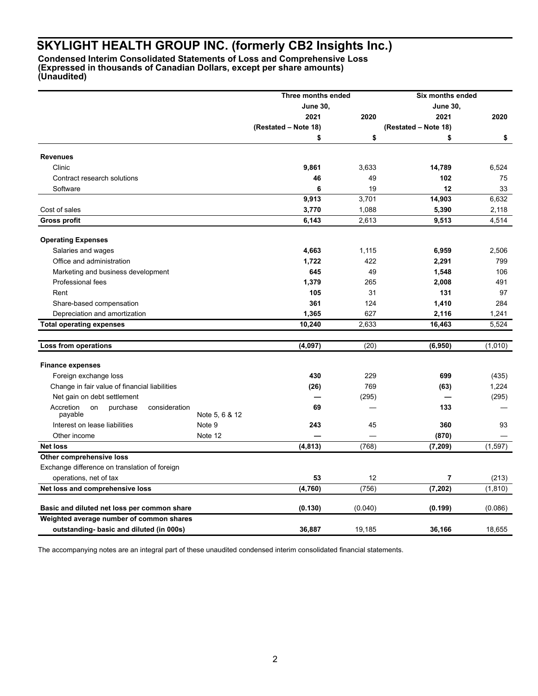**Condensed Interim Consolidated Statements of Loss and Comprehensive Loss (Expressed in thousands of Canadian Dollars, except per share amounts) (Unaudited)**

|                                                         |                | Three months ended   |         | Six months ended     |          |
|---------------------------------------------------------|----------------|----------------------|---------|----------------------|----------|
|                                                         |                | <b>June 30,</b>      |         | <b>June 30,</b>      |          |
|                                                         |                | 2021                 | 2020    | 2021                 | 2020     |
|                                                         |                | (Restated – Note 18) |         | (Restated - Note 18) |          |
|                                                         |                | \$                   | \$      | \$                   | \$       |
| <b>Revenues</b>                                         |                |                      |         |                      |          |
| Clinic                                                  |                | 9,861                | 3,633   | 14,789               | 6,524    |
| Contract research solutions                             |                | 46                   | 49      | 102                  | 75       |
| Software                                                |                | 6                    | 19      | 12                   | 33       |
|                                                         |                | 9,913                | 3,701   | 14,903               | 6,632    |
| Cost of sales                                           |                | 3,770                | 1,088   | 5,390                | 2,118    |
| <b>Gross profit</b>                                     |                | 6,143                | 2,613   | 9,513                | 4,514    |
| <b>Operating Expenses</b>                               |                |                      |         |                      |          |
| Salaries and wages                                      |                | 4,663                | 1,115   | 6,959                | 2,506    |
| Office and administration                               |                | 1,722                | 422     | 2,291                | 799      |
| Marketing and business development                      |                | 645                  | 49      | 1,548                | 106      |
| Professional fees                                       |                | 1,379                | 265     | 2,008                | 491      |
| Rent                                                    |                | 105                  | 31      | 131                  | 97       |
| Share-based compensation                                |                | 361                  | 124     | 1,410                | 284      |
| Depreciation and amortization                           |                | 1,365                | 627     | 2,116                | 1,241    |
| <b>Total operating expenses</b>                         |                | 10,240               | 2,633   | 16,463               | 5,524    |
|                                                         |                |                      |         |                      |          |
| <b>Loss from operations</b>                             |                | (4,097)              | (20)    | (6, 950)             | (1,010)  |
| <b>Finance expenses</b>                                 |                |                      |         |                      |          |
| Foreign exchange loss                                   |                | 430                  | 229     | 699                  | (435)    |
| Change in fair value of financial liabilities           |                | (26)                 | 769     | (63)                 | 1,224    |
| Net gain on debt settlement                             |                |                      | (295)   |                      | (295)    |
| Accretion<br>consideration<br>on<br>purchase<br>payable | Note 5, 6 & 12 | 69                   |         | 133                  |          |
| Interest on lease liabilities                           | Note 9         | 243                  | 45      | 360                  | 93       |
| Other income                                            | Note 12        |                      |         | (870)                |          |
| <b>Net loss</b>                                         |                | (4, 813)             | (768)   | (7, 209)             | (1, 597) |
| Other comprehensive loss                                |                |                      |         |                      |          |
| Exchange difference on translation of foreign           |                |                      |         |                      |          |
| operations, net of tax                                  |                | 53                   | 12      | 7                    | (213)    |
| Net loss and comprehensive loss                         |                | (4, 760)             | (756)   | (7, 202)             | (1, 810) |
| Basic and diluted net loss per common share             |                | (0.130)              | (0.040) | (0.199)              | (0.086)  |
| Weighted average number of common shares                |                |                      |         |                      |          |
| outstanding- basic and diluted (in 000s)                |                | 36,887               | 19,185  | 36,166               | 18,655   |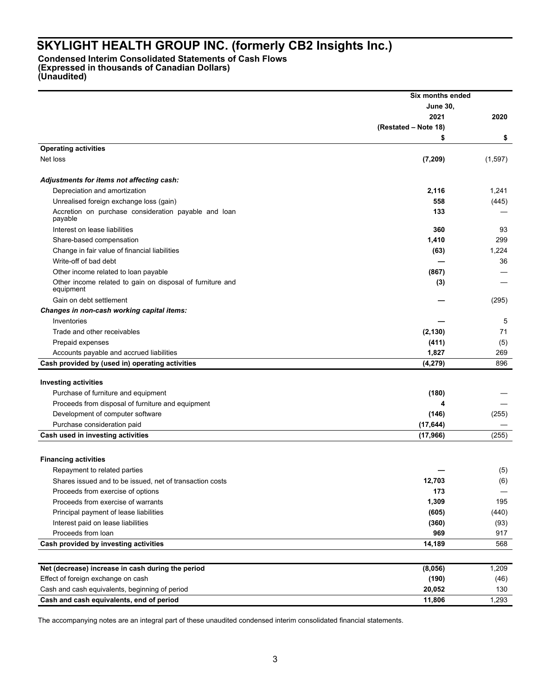# **Condensed Interim Consolidated Statements of Cash Flows**

**(Expressed in thousands of Canadian Dollars)**

**(Unaudited)**

| <b>June 30,</b><br>2021<br>2020<br>(Restated – Note 18)<br>\$<br>\$<br><b>Operating activities</b><br>Net loss<br>(7, 209)<br>(1,597)<br>Adjustments for items not affecting cash:<br>Depreciation and amortization<br>2,116<br>1,241<br>Unrealised foreign exchange loss (gain)<br>558<br>(445)<br>Accretion on purchase consideration payable and loan<br>133<br>payable<br>Interest on lease liabilities<br>360<br>93<br>299<br>Share-based compensation<br>1,410<br>Change in fair value of financial liabilities<br>1,224<br>(63)<br>Write-off of bad debt<br>36<br>(867)<br>Other income related to loan payable<br>Other income related to gain on disposal of furniture and<br>(3)<br>equipment<br>Gain on debt settlement<br>(295)<br>Changes in non-cash working capital items:<br>Inventories<br>5<br>71<br>Trade and other receivables<br>(2, 130)<br>Prepaid expenses<br>(411)<br>(5)<br>1,827<br>Accounts payable and accrued liabilities<br>269<br>Cash provided by (used in) operating activities<br>896<br>(4, 279)<br><b>Investing activities</b><br>Purchase of furniture and equipment<br>(180)<br>Proceeds from disposal of furniture and equipment<br>Development of computer software<br>(146)<br>(255)<br>Purchase consideration paid<br>(17, 644)<br>Cash used in investing activities<br>(17, 966)<br>(255)<br><b>Financing activities</b><br>Repayment to related parties<br>(5)<br>12,703<br>(6)<br>Shares issued and to be issued, net of transaction costs<br>173<br>Proceeds from exercise of options<br>1,309<br>Proceeds from exercise of warrants<br>195<br>Principal payment of lease liabilities<br>(605)<br>(440)<br>Interest paid on lease liabilities<br>(360)<br>(93)<br>Proceeds from loan<br>969<br>917<br>Cash provided by investing activities<br>14,189<br>568<br>1,209<br>Net (decrease) increase in cash during the period<br>(8,056)<br>Effect of foreign exchange on cash<br>(190)<br>(46)<br>Cash and cash equivalents, beginning of period<br>20,052<br>130<br>Cash and cash equivalents, end of period<br>11,806<br>1,293 | Six months ended |  |
|-------------------------------------------------------------------------------------------------------------------------------------------------------------------------------------------------------------------------------------------------------------------------------------------------------------------------------------------------------------------------------------------------------------------------------------------------------------------------------------------------------------------------------------------------------------------------------------------------------------------------------------------------------------------------------------------------------------------------------------------------------------------------------------------------------------------------------------------------------------------------------------------------------------------------------------------------------------------------------------------------------------------------------------------------------------------------------------------------------------------------------------------------------------------------------------------------------------------------------------------------------------------------------------------------------------------------------------------------------------------------------------------------------------------------------------------------------------------------------------------------------------------------------------------------------------------------------------------------------------------------------------------------------------------------------------------------------------------------------------------------------------------------------------------------------------------------------------------------------------------------------------------------------------------------------------------------------------------------------------------------------------------------------------------------------------------------------|------------------|--|
|                                                                                                                                                                                                                                                                                                                                                                                                                                                                                                                                                                                                                                                                                                                                                                                                                                                                                                                                                                                                                                                                                                                                                                                                                                                                                                                                                                                                                                                                                                                                                                                                                                                                                                                                                                                                                                                                                                                                                                                                                                                                               |                  |  |
|                                                                                                                                                                                                                                                                                                                                                                                                                                                                                                                                                                                                                                                                                                                                                                                                                                                                                                                                                                                                                                                                                                                                                                                                                                                                                                                                                                                                                                                                                                                                                                                                                                                                                                                                                                                                                                                                                                                                                                                                                                                                               |                  |  |
|                                                                                                                                                                                                                                                                                                                                                                                                                                                                                                                                                                                                                                                                                                                                                                                                                                                                                                                                                                                                                                                                                                                                                                                                                                                                                                                                                                                                                                                                                                                                                                                                                                                                                                                                                                                                                                                                                                                                                                                                                                                                               |                  |  |
|                                                                                                                                                                                                                                                                                                                                                                                                                                                                                                                                                                                                                                                                                                                                                                                                                                                                                                                                                                                                                                                                                                                                                                                                                                                                                                                                                                                                                                                                                                                                                                                                                                                                                                                                                                                                                                                                                                                                                                                                                                                                               |                  |  |
|                                                                                                                                                                                                                                                                                                                                                                                                                                                                                                                                                                                                                                                                                                                                                                                                                                                                                                                                                                                                                                                                                                                                                                                                                                                                                                                                                                                                                                                                                                                                                                                                                                                                                                                                                                                                                                                                                                                                                                                                                                                                               |                  |  |
|                                                                                                                                                                                                                                                                                                                                                                                                                                                                                                                                                                                                                                                                                                                                                                                                                                                                                                                                                                                                                                                                                                                                                                                                                                                                                                                                                                                                                                                                                                                                                                                                                                                                                                                                                                                                                                                                                                                                                                                                                                                                               |                  |  |
|                                                                                                                                                                                                                                                                                                                                                                                                                                                                                                                                                                                                                                                                                                                                                                                                                                                                                                                                                                                                                                                                                                                                                                                                                                                                                                                                                                                                                                                                                                                                                                                                                                                                                                                                                                                                                                                                                                                                                                                                                                                                               |                  |  |
|                                                                                                                                                                                                                                                                                                                                                                                                                                                                                                                                                                                                                                                                                                                                                                                                                                                                                                                                                                                                                                                                                                                                                                                                                                                                                                                                                                                                                                                                                                                                                                                                                                                                                                                                                                                                                                                                                                                                                                                                                                                                               |                  |  |
|                                                                                                                                                                                                                                                                                                                                                                                                                                                                                                                                                                                                                                                                                                                                                                                                                                                                                                                                                                                                                                                                                                                                                                                                                                                                                                                                                                                                                                                                                                                                                                                                                                                                                                                                                                                                                                                                                                                                                                                                                                                                               |                  |  |
|                                                                                                                                                                                                                                                                                                                                                                                                                                                                                                                                                                                                                                                                                                                                                                                                                                                                                                                                                                                                                                                                                                                                                                                                                                                                                                                                                                                                                                                                                                                                                                                                                                                                                                                                                                                                                                                                                                                                                                                                                                                                               |                  |  |
|                                                                                                                                                                                                                                                                                                                                                                                                                                                                                                                                                                                                                                                                                                                                                                                                                                                                                                                                                                                                                                                                                                                                                                                                                                                                                                                                                                                                                                                                                                                                                                                                                                                                                                                                                                                                                                                                                                                                                                                                                                                                               |                  |  |
|                                                                                                                                                                                                                                                                                                                                                                                                                                                                                                                                                                                                                                                                                                                                                                                                                                                                                                                                                                                                                                                                                                                                                                                                                                                                                                                                                                                                                                                                                                                                                                                                                                                                                                                                                                                                                                                                                                                                                                                                                                                                               |                  |  |
|                                                                                                                                                                                                                                                                                                                                                                                                                                                                                                                                                                                                                                                                                                                                                                                                                                                                                                                                                                                                                                                                                                                                                                                                                                                                                                                                                                                                                                                                                                                                                                                                                                                                                                                                                                                                                                                                                                                                                                                                                                                                               |                  |  |
|                                                                                                                                                                                                                                                                                                                                                                                                                                                                                                                                                                                                                                                                                                                                                                                                                                                                                                                                                                                                                                                                                                                                                                                                                                                                                                                                                                                                                                                                                                                                                                                                                                                                                                                                                                                                                                                                                                                                                                                                                                                                               |                  |  |
|                                                                                                                                                                                                                                                                                                                                                                                                                                                                                                                                                                                                                                                                                                                                                                                                                                                                                                                                                                                                                                                                                                                                                                                                                                                                                                                                                                                                                                                                                                                                                                                                                                                                                                                                                                                                                                                                                                                                                                                                                                                                               |                  |  |
|                                                                                                                                                                                                                                                                                                                                                                                                                                                                                                                                                                                                                                                                                                                                                                                                                                                                                                                                                                                                                                                                                                                                                                                                                                                                                                                                                                                                                                                                                                                                                                                                                                                                                                                                                                                                                                                                                                                                                                                                                                                                               |                  |  |
|                                                                                                                                                                                                                                                                                                                                                                                                                                                                                                                                                                                                                                                                                                                                                                                                                                                                                                                                                                                                                                                                                                                                                                                                                                                                                                                                                                                                                                                                                                                                                                                                                                                                                                                                                                                                                                                                                                                                                                                                                                                                               |                  |  |
|                                                                                                                                                                                                                                                                                                                                                                                                                                                                                                                                                                                                                                                                                                                                                                                                                                                                                                                                                                                                                                                                                                                                                                                                                                                                                                                                                                                                                                                                                                                                                                                                                                                                                                                                                                                                                                                                                                                                                                                                                                                                               |                  |  |
|                                                                                                                                                                                                                                                                                                                                                                                                                                                                                                                                                                                                                                                                                                                                                                                                                                                                                                                                                                                                                                                                                                                                                                                                                                                                                                                                                                                                                                                                                                                                                                                                                                                                                                                                                                                                                                                                                                                                                                                                                                                                               |                  |  |
|                                                                                                                                                                                                                                                                                                                                                                                                                                                                                                                                                                                                                                                                                                                                                                                                                                                                                                                                                                                                                                                                                                                                                                                                                                                                                                                                                                                                                                                                                                                                                                                                                                                                                                                                                                                                                                                                                                                                                                                                                                                                               |                  |  |
|                                                                                                                                                                                                                                                                                                                                                                                                                                                                                                                                                                                                                                                                                                                                                                                                                                                                                                                                                                                                                                                                                                                                                                                                                                                                                                                                                                                                                                                                                                                                                                                                                                                                                                                                                                                                                                                                                                                                                                                                                                                                               |                  |  |
|                                                                                                                                                                                                                                                                                                                                                                                                                                                                                                                                                                                                                                                                                                                                                                                                                                                                                                                                                                                                                                                                                                                                                                                                                                                                                                                                                                                                                                                                                                                                                                                                                                                                                                                                                                                                                                                                                                                                                                                                                                                                               |                  |  |
|                                                                                                                                                                                                                                                                                                                                                                                                                                                                                                                                                                                                                                                                                                                                                                                                                                                                                                                                                                                                                                                                                                                                                                                                                                                                                                                                                                                                                                                                                                                                                                                                                                                                                                                                                                                                                                                                                                                                                                                                                                                                               |                  |  |
|                                                                                                                                                                                                                                                                                                                                                                                                                                                                                                                                                                                                                                                                                                                                                                                                                                                                                                                                                                                                                                                                                                                                                                                                                                                                                                                                                                                                                                                                                                                                                                                                                                                                                                                                                                                                                                                                                                                                                                                                                                                                               |                  |  |
|                                                                                                                                                                                                                                                                                                                                                                                                                                                                                                                                                                                                                                                                                                                                                                                                                                                                                                                                                                                                                                                                                                                                                                                                                                                                                                                                                                                                                                                                                                                                                                                                                                                                                                                                                                                                                                                                                                                                                                                                                                                                               |                  |  |
|                                                                                                                                                                                                                                                                                                                                                                                                                                                                                                                                                                                                                                                                                                                                                                                                                                                                                                                                                                                                                                                                                                                                                                                                                                                                                                                                                                                                                                                                                                                                                                                                                                                                                                                                                                                                                                                                                                                                                                                                                                                                               |                  |  |
|                                                                                                                                                                                                                                                                                                                                                                                                                                                                                                                                                                                                                                                                                                                                                                                                                                                                                                                                                                                                                                                                                                                                                                                                                                                                                                                                                                                                                                                                                                                                                                                                                                                                                                                                                                                                                                                                                                                                                                                                                                                                               |                  |  |
|                                                                                                                                                                                                                                                                                                                                                                                                                                                                                                                                                                                                                                                                                                                                                                                                                                                                                                                                                                                                                                                                                                                                                                                                                                                                                                                                                                                                                                                                                                                                                                                                                                                                                                                                                                                                                                                                                                                                                                                                                                                                               |                  |  |
|                                                                                                                                                                                                                                                                                                                                                                                                                                                                                                                                                                                                                                                                                                                                                                                                                                                                                                                                                                                                                                                                                                                                                                                                                                                                                                                                                                                                                                                                                                                                                                                                                                                                                                                                                                                                                                                                                                                                                                                                                                                                               |                  |  |
|                                                                                                                                                                                                                                                                                                                                                                                                                                                                                                                                                                                                                                                                                                                                                                                                                                                                                                                                                                                                                                                                                                                                                                                                                                                                                                                                                                                                                                                                                                                                                                                                                                                                                                                                                                                                                                                                                                                                                                                                                                                                               |                  |  |
|                                                                                                                                                                                                                                                                                                                                                                                                                                                                                                                                                                                                                                                                                                                                                                                                                                                                                                                                                                                                                                                                                                                                                                                                                                                                                                                                                                                                                                                                                                                                                                                                                                                                                                                                                                                                                                                                                                                                                                                                                                                                               |                  |  |
|                                                                                                                                                                                                                                                                                                                                                                                                                                                                                                                                                                                                                                                                                                                                                                                                                                                                                                                                                                                                                                                                                                                                                                                                                                                                                                                                                                                                                                                                                                                                                                                                                                                                                                                                                                                                                                                                                                                                                                                                                                                                               |                  |  |
|                                                                                                                                                                                                                                                                                                                                                                                                                                                                                                                                                                                                                                                                                                                                                                                                                                                                                                                                                                                                                                                                                                                                                                                                                                                                                                                                                                                                                                                                                                                                                                                                                                                                                                                                                                                                                                                                                                                                                                                                                                                                               |                  |  |
|                                                                                                                                                                                                                                                                                                                                                                                                                                                                                                                                                                                                                                                                                                                                                                                                                                                                                                                                                                                                                                                                                                                                                                                                                                                                                                                                                                                                                                                                                                                                                                                                                                                                                                                                                                                                                                                                                                                                                                                                                                                                               |                  |  |
|                                                                                                                                                                                                                                                                                                                                                                                                                                                                                                                                                                                                                                                                                                                                                                                                                                                                                                                                                                                                                                                                                                                                                                                                                                                                                                                                                                                                                                                                                                                                                                                                                                                                                                                                                                                                                                                                                                                                                                                                                                                                               |                  |  |
|                                                                                                                                                                                                                                                                                                                                                                                                                                                                                                                                                                                                                                                                                                                                                                                                                                                                                                                                                                                                                                                                                                                                                                                                                                                                                                                                                                                                                                                                                                                                                                                                                                                                                                                                                                                                                                                                                                                                                                                                                                                                               |                  |  |
|                                                                                                                                                                                                                                                                                                                                                                                                                                                                                                                                                                                                                                                                                                                                                                                                                                                                                                                                                                                                                                                                                                                                                                                                                                                                                                                                                                                                                                                                                                                                                                                                                                                                                                                                                                                                                                                                                                                                                                                                                                                                               |                  |  |
|                                                                                                                                                                                                                                                                                                                                                                                                                                                                                                                                                                                                                                                                                                                                                                                                                                                                                                                                                                                                                                                                                                                                                                                                                                                                                                                                                                                                                                                                                                                                                                                                                                                                                                                                                                                                                                                                                                                                                                                                                                                                               |                  |  |
|                                                                                                                                                                                                                                                                                                                                                                                                                                                                                                                                                                                                                                                                                                                                                                                                                                                                                                                                                                                                                                                                                                                                                                                                                                                                                                                                                                                                                                                                                                                                                                                                                                                                                                                                                                                                                                                                                                                                                                                                                                                                               |                  |  |
|                                                                                                                                                                                                                                                                                                                                                                                                                                                                                                                                                                                                                                                                                                                                                                                                                                                                                                                                                                                                                                                                                                                                                                                                                                                                                                                                                                                                                                                                                                                                                                                                                                                                                                                                                                                                                                                                                                                                                                                                                                                                               |                  |  |
|                                                                                                                                                                                                                                                                                                                                                                                                                                                                                                                                                                                                                                                                                                                                                                                                                                                                                                                                                                                                                                                                                                                                                                                                                                                                                                                                                                                                                                                                                                                                                                                                                                                                                                                                                                                                                                                                                                                                                                                                                                                                               |                  |  |
|                                                                                                                                                                                                                                                                                                                                                                                                                                                                                                                                                                                                                                                                                                                                                                                                                                                                                                                                                                                                                                                                                                                                                                                                                                                                                                                                                                                                                                                                                                                                                                                                                                                                                                                                                                                                                                                                                                                                                                                                                                                                               |                  |  |
|                                                                                                                                                                                                                                                                                                                                                                                                                                                                                                                                                                                                                                                                                                                                                                                                                                                                                                                                                                                                                                                                                                                                                                                                                                                                                                                                                                                                                                                                                                                                                                                                                                                                                                                                                                                                                                                                                                                                                                                                                                                                               |                  |  |
|                                                                                                                                                                                                                                                                                                                                                                                                                                                                                                                                                                                                                                                                                                                                                                                                                                                                                                                                                                                                                                                                                                                                                                                                                                                                                                                                                                                                                                                                                                                                                                                                                                                                                                                                                                                                                                                                                                                                                                                                                                                                               |                  |  |
|                                                                                                                                                                                                                                                                                                                                                                                                                                                                                                                                                                                                                                                                                                                                                                                                                                                                                                                                                                                                                                                                                                                                                                                                                                                                                                                                                                                                                                                                                                                                                                                                                                                                                                                                                                                                                                                                                                                                                                                                                                                                               |                  |  |
|                                                                                                                                                                                                                                                                                                                                                                                                                                                                                                                                                                                                                                                                                                                                                                                                                                                                                                                                                                                                                                                                                                                                                                                                                                                                                                                                                                                                                                                                                                                                                                                                                                                                                                                                                                                                                                                                                                                                                                                                                                                                               |                  |  |
|                                                                                                                                                                                                                                                                                                                                                                                                                                                                                                                                                                                                                                                                                                                                                                                                                                                                                                                                                                                                                                                                                                                                                                                                                                                                                                                                                                                                                                                                                                                                                                                                                                                                                                                                                                                                                                                                                                                                                                                                                                                                               |                  |  |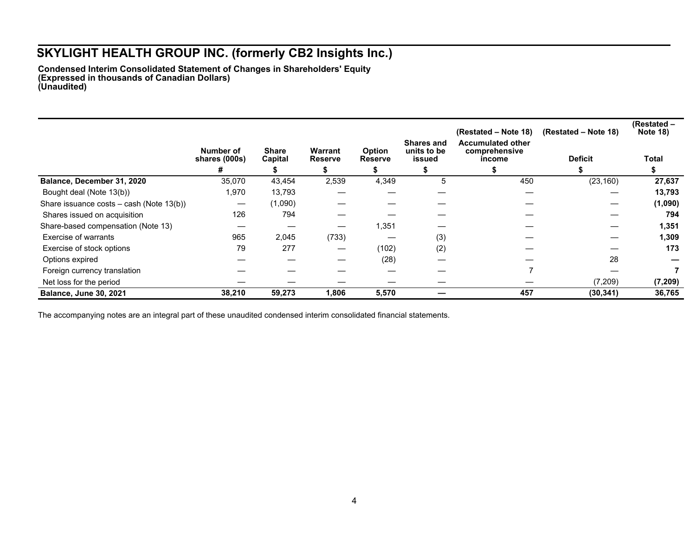**Condensed Interim Consolidated Statement of Changes in Shareholders' Equity (Expressed in thousands of Canadian Dollars) (Unaudited)**

|                                          |                            |                         |                           |                                 |                                     | (Restated – Note 18)                                | (Restated – Note 18) | (Restated –<br><b>Note 18)</b> |
|------------------------------------------|----------------------------|-------------------------|---------------------------|---------------------------------|-------------------------------------|-----------------------------------------------------|----------------------|--------------------------------|
|                                          | Number of<br>shares (000s) | <b>Share</b><br>Capital | Warrant<br><b>Reserve</b> | <b>Option</b><br><b>Reserve</b> | Shares and<br>units to be<br>issued | <b>Accumulated other</b><br>comprehensive<br>income | <b>Deficit</b>       | Total                          |
|                                          | #                          |                         |                           |                                 |                                     |                                                     |                      |                                |
| Balance, December 31, 2020               | 35,070                     | 43,454                  | 2,539                     | 4,349                           | 5                                   | 450                                                 | (23, 160)            | 27,637                         |
| Bought deal (Note 13(b))                 | 1,970                      | 13,793                  |                           |                                 |                                     |                                                     |                      | 13,793                         |
| Share issuance costs – cash (Note 13(b)) |                            | (1,090)                 |                           |                                 |                                     |                                                     |                      | (1,090)                        |
| Shares issued on acquisition             | 126                        | 794                     |                           |                                 |                                     |                                                     |                      | 794                            |
| Share-based compensation (Note 13)       |                            |                         |                           | 1,351                           |                                     |                                                     |                      | 1,351                          |
| Exercise of warrants                     | 965                        | 2,045                   | (733)                     |                                 | (3)                                 |                                                     |                      | 1,309                          |
| Exercise of stock options                | 79                         | 277                     | $\overline{\phantom{0}}$  | (102)                           | (2)                                 |                                                     |                      | 173                            |
| Options expired                          |                            |                         |                           | (28)                            |                                     |                                                     | 28                   |                                |
| Foreign currency translation             |                            |                         |                           |                                 |                                     |                                                     |                      |                                |
| Net loss for the period                  |                            |                         |                           |                                 |                                     |                                                     | (7,209)              | (7, 209)                       |
| <b>Balance, June 30, 2021</b>            | 38,210                     | 59,273                  | 1,806                     | 5,570                           |                                     | 457                                                 | (30, 341)            | 36,765                         |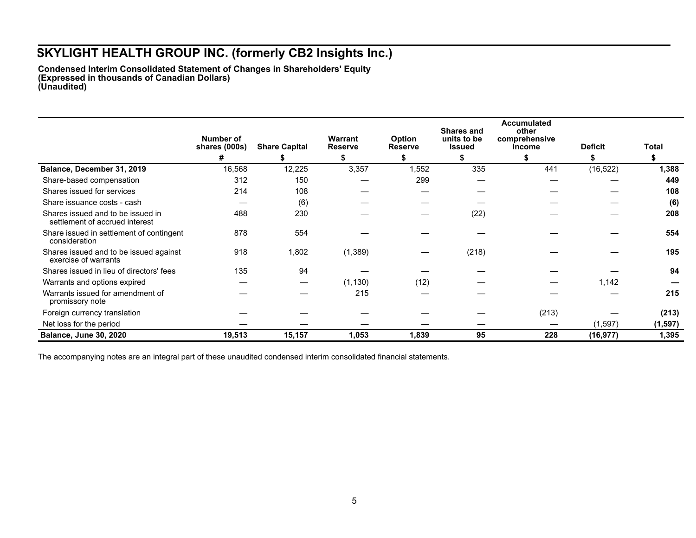**Condensed Interim Consolidated Statement of Changes in Shareholders' Equity (Expressed in thousands of Canadian Dollars) (Unaudited)**

|                                                                     | Number of<br>shares (000s) | <b>Share Capital</b> | <b>Warrant</b><br><b>Reserve</b> | Option<br><b>Reserve</b> | <b>Shares and</b><br>units to be<br>issued | <b>Accumulated</b><br>other<br>comprehensive<br>income | <b>Deficit</b> | Total    |
|---------------------------------------------------------------------|----------------------------|----------------------|----------------------------------|--------------------------|--------------------------------------------|--------------------------------------------------------|----------------|----------|
|                                                                     | #                          |                      |                                  | S                        |                                            |                                                        |                |          |
| Balance, December 31, 2019                                          | 16,568                     | 12,225               | 3,357                            | 1,552                    | 335                                        | 441                                                    | (16, 522)      | 1,388    |
| Share-based compensation                                            | 312                        | 150                  |                                  | 299                      |                                            |                                                        |                | 449      |
| Shares issued for services                                          | 214                        | 108                  |                                  |                          |                                            |                                                        |                | 108      |
| Share issuance costs - cash                                         |                            | (6)                  |                                  |                          |                                            |                                                        |                | (6)      |
| Shares issued and to be issued in<br>settlement of accrued interest | 488                        | 230                  |                                  |                          | (22)                                       |                                                        |                | 208      |
| Share issued in settlement of contingent<br>consideration           | 878                        | 554                  |                                  |                          |                                            |                                                        |                | 554      |
| Shares issued and to be issued against<br>exercise of warrants      | 918                        | 1,802                | (1, 389)                         |                          | (218)                                      |                                                        |                | 195      |
| Shares issued in lieu of directors' fees                            | 135                        | 94                   |                                  |                          |                                            |                                                        |                | 94       |
| Warrants and options expired                                        |                            |                      | (1, 130)                         | (12)                     |                                            |                                                        | 1,142          |          |
| Warrants issued for amendment of<br>promissory note                 |                            |                      | 215                              |                          |                                            |                                                        |                | 215      |
| Foreign currency translation                                        |                            |                      |                                  |                          |                                            | (213)                                                  |                | (213)    |
| Net loss for the period                                             |                            |                      |                                  |                          |                                            |                                                        | (1, 597)       | (1, 597) |
| <b>Balance, June 30, 2020</b>                                       | 19,513                     | 15,157               | 1,053                            | 1,839                    | 95                                         | 228                                                    | (16,977)       | 1,395    |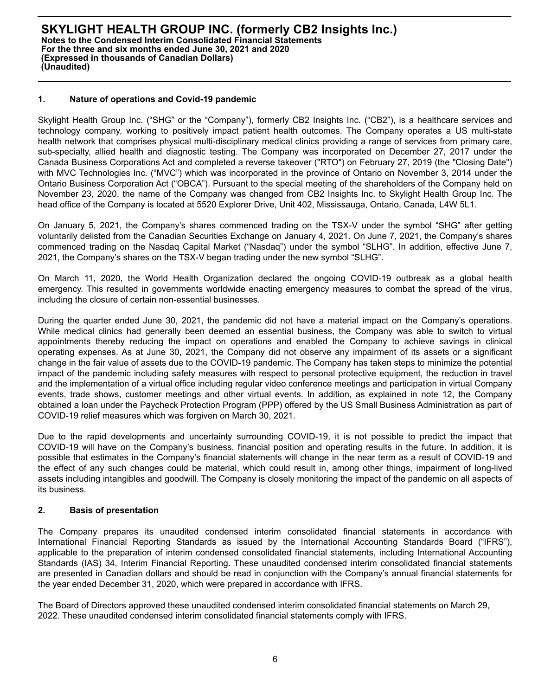### **1. Nature of operations and Covid-19 pandemic**

Skylight Health Group Inc. ("SHG" or the "Company"), formerly CB2 Insights Inc. ("CB2"), is a healthcare services and technology company, working to positively impact patient health outcomes. The Company operates a US multi-state health network that comprises physical multi-disciplinary medical clinics providing a range of services from primary care, sub-specialty, allied health and diagnostic testing. The Company was incorporated on December 27, 2017 under the Canada Business Corporations Act and completed a reverse takeover ("RTO") on February 27, 2019 (the "Closing Date") with MVC Technologies Inc. ("MVC") which was incorporated in the province of Ontario on November 3, 2014 under the Ontario Business Corporation Act ("OBCA"). Pursuant to the special meeting of the shareholders of the Company held on November 23, 2020, the name of the Company was changed from CB2 Insights Inc. to Skylight Health Group Inc. The head office of the Company is located at 5520 Explorer Drive, Unit 402, Mississauga, Ontario, Canada, L4W 5L1.

On January 5, 2021, the Company's shares commenced trading on the TSX-V under the symbol "SHG" after getting voluntarily delisted from the Canadian Securities Exchange on January 4, 2021. On June 7, 2021, the Company's shares commenced trading on the Nasdaq Capital Market ("Nasdaq") under the symbol "SLHG". In addition, effective June 7, 2021, the Company's shares on the TSX-V began trading under the new symbol "SLHG".

On March 11, 2020, the World Health Organization declared the ongoing COVID-19 outbreak as a global health emergency. This resulted in governments worldwide enacting emergency measures to combat the spread of the virus, including the closure of certain non-essential businesses.

During the quarter ended June 30, 2021, the pandemic did not have a material impact on the Company's operations. While medical clinics had generally been deemed an essential business, the Company was able to switch to virtual appointments thereby reducing the impact on operations and enabled the Company to achieve savings in clinical operating expenses. As at June 30, 2021, the Company did not observe any impairment of its assets or a significant change in the fair value of assets due to the COVID-19 pandemic. The Company has taken steps to minimize the potential impact of the pandemic including safety measures with respect to personal protective equipment, the reduction in travel and the implementation of a virtual office including regular video conference meetings and participation in virtual Company events, trade shows, customer meetings and other virtual events. In addition, as explained in note 12, the Company obtained a loan under the Paycheck Protection Program (PPP) offered by the US Small Business Administration as part of COVID-19 relief measures which was forgiven on March 30, 2021.

Due to the rapid developments and uncertainty surrounding COVID-19, it is not possible to predict the impact that COVID-19 will have on the Company's business, financial position and operating results in the future. In addition, it is possible that estimates in the Company's financial statements will change in the near term as a result of COVID-19 and the effect of any such changes could be material, which could result in, among other things, impairment of long-lived assets including intangibles and goodwill. The Company is closely monitoring the impact of the pandemic on all aspects of its business.

## **2. Basis of presentation**

The Company prepares its unaudited condensed interim consolidated financial statements in accordance with International Financial Reporting Standards as issued by the International Accounting Standards Board ("IFRS"), applicable to the preparation of interim condensed consolidated financial statements, including International Accounting Standards (IAS) 34, Interim Financial Reporting. These unaudited condensed interim consolidated financial statements are presented in Canadian dollars and should be read in conjunction with the Company's annual financial statements for the year ended December 31, 2020, which were prepared in accordance with IFRS.

The Board of Directors approved these unaudited condensed interim consolidated financial statements on March 29, 2022. These unaudited condensed interim consolidated financial statements comply with IFRS.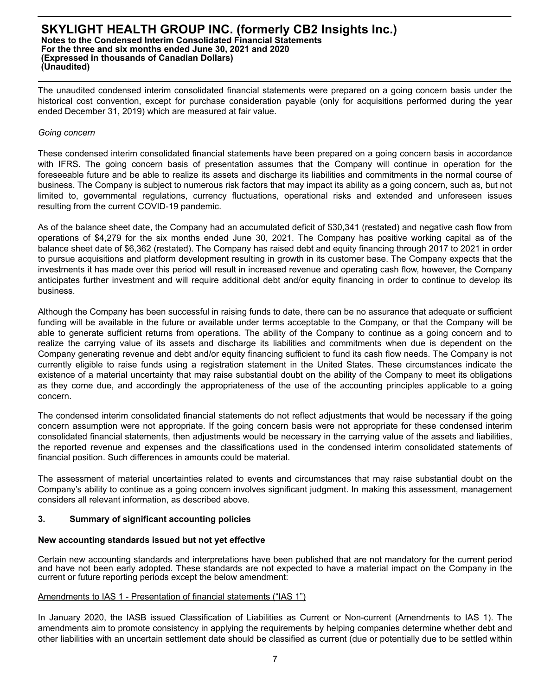The unaudited condensed interim consolidated financial statements were prepared on a going concern basis under the historical cost convention, except for purchase consideration payable (only for acquisitions performed during the year ended December 31, 2019) which are measured at fair value.

### *Going concern*

These condensed interim consolidated financial statements have been prepared on a going concern basis in accordance with IFRS. The going concern basis of presentation assumes that the Company will continue in operation for the foreseeable future and be able to realize its assets and discharge its liabilities and commitments in the normal course of business. The Company is subject to numerous risk factors that may impact its ability as a going concern, such as, but not limited to, governmental regulations, currency fluctuations, operational risks and extended and unforeseen issues resulting from the current COVID-19 pandemic.

As of the balance sheet date, the Company had an accumulated deficit of \$30,341 (restated) and negative cash flow from operations of \$4,279 for the six months ended June 30, 2021. The Company has positive working capital as of the balance sheet date of \$6,362 (restated). The Company has raised debt and equity financing through 2017 to 2021 in order to pursue acquisitions and platform development resulting in growth in its customer base. The Company expects that the investments it has made over this period will result in increased revenue and operating cash flow, however, the Company anticipates further investment and will require additional debt and/or equity financing in order to continue to develop its business.

Although the Company has been successful in raising funds to date, there can be no assurance that adequate or sufficient funding will be available in the future or available under terms acceptable to the Company, or that the Company will be able to generate sufficient returns from operations. The ability of the Company to continue as a going concern and to realize the carrying value of its assets and discharge its liabilities and commitments when due is dependent on the Company generating revenue and debt and/or equity financing sufficient to fund its cash flow needs. The Company is not currently eligible to raise funds using a registration statement in the United States. These circumstances indicate the existence of a material uncertainty that may raise substantial doubt on the ability of the Company to meet its obligations as they come due, and accordingly the appropriateness of the use of the accounting principles applicable to a going concern.

The condensed interim consolidated financial statements do not reflect adjustments that would be necessary if the going concern assumption were not appropriate. If the going concern basis were not appropriate for these condensed interim consolidated financial statements, then adjustments would be necessary in the carrying value of the assets and liabilities, the reported revenue and expenses and the classifications used in the condensed interim consolidated statements of financial position. Such differences in amounts could be material.

The assessment of material uncertainties related to events and circumstances that may raise substantial doubt on the Company's ability to continue as a going concern involves significant judgment. In making this assessment, management considers all relevant information, as described above.

## **3. Summary of significant accounting policies**

#### **New accounting standards issued but not yet effective**

Certain new accounting standards and interpretations have been published that are not mandatory for the current period and have not been early adopted. These standards are not expected to have a material impact on the Company in the current or future reporting periods except the below amendment:

#### Amendments to IAS 1 - Presentation of financial statements ("IAS 1")

In January 2020, the IASB issued Classification of Liabilities as Current or Non-current (Amendments to IAS 1). The amendments aim to promote consistency in applying the requirements by helping companies determine whether debt and other liabilities with an uncertain settlement date should be classified as current (due or potentially due to be settled within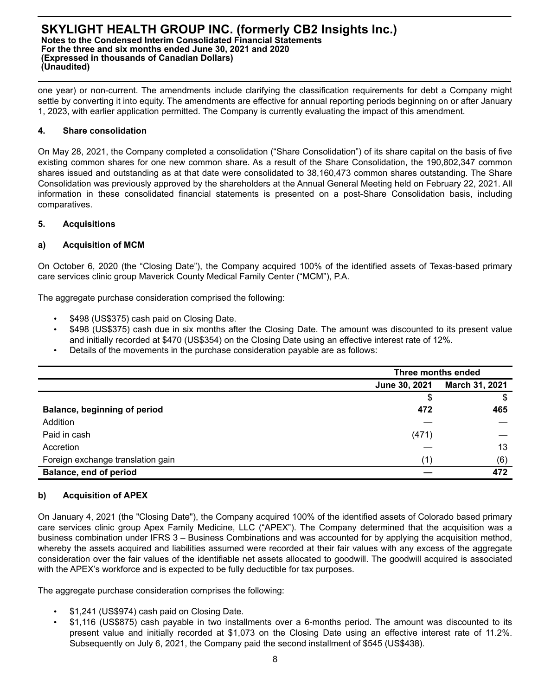one year) or non-current. The amendments include clarifying the classification requirements for debt a Company might settle by converting it into equity. The amendments are effective for annual reporting periods beginning on or after January 1, 2023, with earlier application permitted. The Company is currently evaluating the impact of this amendment.

## **4. Share consolidation**

On May 28, 2021, the Company completed a consolidation ("Share Consolidation") of its share capital on the basis of five existing common shares for one new common share. As a result of the Share Consolidation, the 190,802,347 common shares issued and outstanding as at that date were consolidated to 38,160,473 common shares outstanding. The Share Consolidation was previously approved by the shareholders at the Annual General Meeting held on February 22, 2021. All information in these consolidated financial statements is presented on a post-Share Consolidation basis, including comparatives.

### **5. Acquisitions**

### **a) Acquisition of MCM**

On October 6, 2020 (the "Closing Date"), the Company acquired 100% of the identified assets of Texas-based primary care services clinic group Maverick County Medical Family Center ("MCM"), P.A.

The aggregate purchase consideration comprised the following:

- \$498 (US\$375) cash paid on Closing Date.
- \$498 (US\$375) cash due in six months after the Closing Date. The amount was discounted to its present value and initially recorded at \$470 (US\$354) on the Closing Date using an effective interest rate of 12%.
- Details of the movements in the purchase consideration payable are as follows:

|                                     | Three months ended |                |
|-------------------------------------|--------------------|----------------|
|                                     | June 30, 2021      | March 31, 2021 |
|                                     | \$                 | S              |
| <b>Balance, beginning of period</b> | 472                | 465            |
| Addition                            |                    |                |
| Paid in cash                        | (471)              |                |
| Accretion                           |                    | 13             |
| Foreign exchange translation gain   | (1)                | (6)            |
| Balance, end of period              |                    | 472            |

## **b) Acquisition of APEX**

On January 4, 2021 (the "Closing Date"), the Company acquired 100% of the identified assets of Colorado based primary care services clinic group Apex Family Medicine, LLC ("APEX"). The Company determined that the acquisition was a business combination under IFRS 3 – Business Combinations and was accounted for by applying the acquisition method, whereby the assets acquired and liabilities assumed were recorded at their fair values with any excess of the aggregate consideration over the fair values of the identifiable net assets allocated to goodwill. The goodwill acquired is associated with the APEX's workforce and is expected to be fully deductible for tax purposes.

The aggregate purchase consideration comprises the following:

- \$1,241 (US\$974) cash paid on Closing Date.
- \$1,116 (US\$875) cash payable in two installments over a 6-months period. The amount was discounted to its present value and initially recorded at \$1,073 on the Closing Date using an effective interest rate of 11.2%. Subsequently on July 6, 2021, the Company paid the second installment of \$545 (US\$438).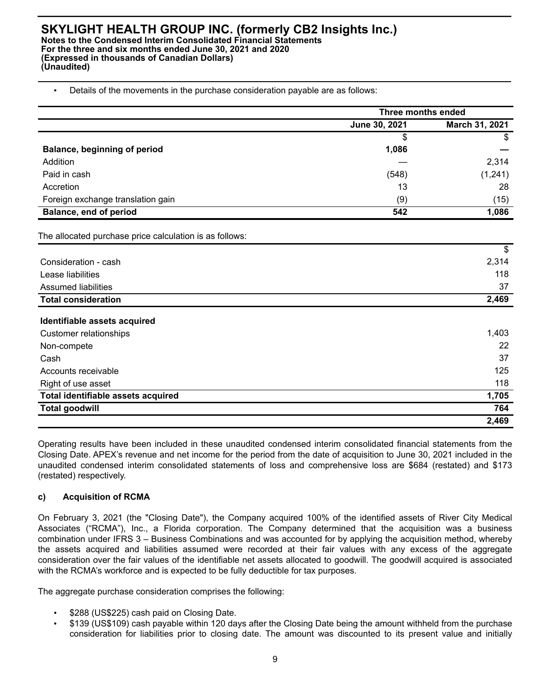• Details of the movements in the purchase consideration payable are as follows:

|                                                         | Three months ended |                           |  |
|---------------------------------------------------------|--------------------|---------------------------|--|
|                                                         | June 30, 2021      | March 31, 2021            |  |
|                                                         | \$                 | \$                        |  |
| Balance, beginning of period                            | 1,086              |                           |  |
| Addition                                                |                    | 2,314                     |  |
| Paid in cash                                            | (548)              | (1,241)                   |  |
| Accretion                                               | 13                 | 28                        |  |
| Foreign exchange translation gain                       | (9)                | (15)                      |  |
| Balance, end of period                                  | 542                | 1,086                     |  |
| The allocated purchase price calculation is as follows: |                    |                           |  |
|                                                         |                    | $\boldsymbol{\mathsf{S}}$ |  |
| Consideration - cash                                    |                    | 2,314                     |  |
| Lease liabilities                                       |                    | 118                       |  |
| <b>Assumed liabilities</b>                              |                    | 37                        |  |
| <b>Total consideration</b>                              |                    | 2,469                     |  |
| Identifiable assets acquired                            |                    |                           |  |
| <b>Customer relationships</b>                           |                    | 1,403                     |  |
| Non-compete                                             |                    | 22                        |  |
| Cash                                                    |                    | 37                        |  |
| Accounts receivable                                     |                    | 125                       |  |
| Right of use asset                                      |                    | 118                       |  |
| Total identifiable assets acquired                      |                    | 1,705                     |  |
| <b>Total goodwill</b>                                   |                    | 764                       |  |
|                                                         |                    | 2,469                     |  |

Operating results have been included in these unaudited condensed interim consolidated financial statements from the Closing Date. APEX's revenue and net income for the period from the date of acquisition to June 30, 2021 included in the unaudited condensed interim consolidated statements of loss and comprehensive loss are \$684 (restated) and \$173 (restated) respectively.

## **c) Acquisition of RCMA**

On February 3, 2021 (the "Closing Date"), the Company acquired 100% of the identified assets of River City Medical Associates ("RCMA"), Inc., a Florida corporation. The Company determined that the acquisition was a business combination under IFRS 3 – Business Combinations and was accounted for by applying the acquisition method, whereby the assets acquired and liabilities assumed were recorded at their fair values with any excess of the aggregate consideration over the fair values of the identifiable net assets allocated to goodwill. The goodwill acquired is associated with the RCMA's workforce and is expected to be fully deductible for tax purposes.

The aggregate purchase consideration comprises the following:

- \$288 (US\$225) cash paid on Closing Date.
- \$139 (US\$109) cash payable within 120 days after the Closing Date being the amount withheld from the purchase consideration for liabilities prior to closing date. The amount was discounted to its present value and initially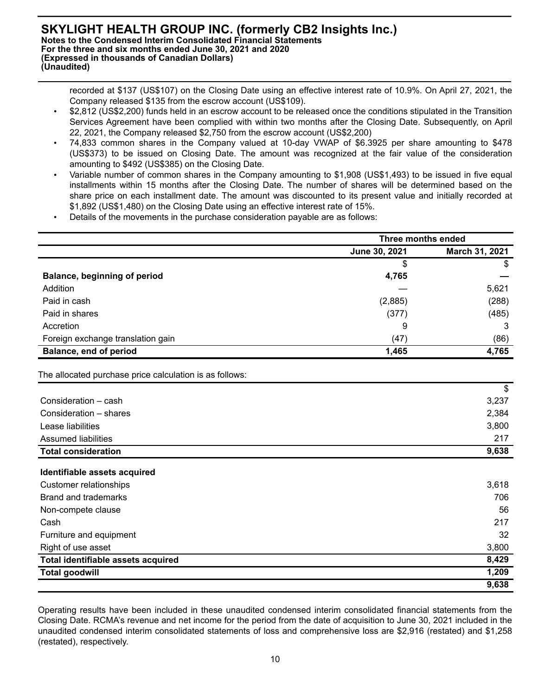#### **SKYLIGHT HEALTH GROUP INC. (formerly CB2 Insights Inc.) Notes to the Condensed Interim Consolidated Financial Statements For the three and six months ended June 30, 2021 and 2020 (Expressed in thousands of Canadian Dollars) (Unaudited)**

recorded at \$137 (US\$107) on the Closing Date using an effective interest rate of 10.9%. On April 27, 2021, the Company released \$135 from the escrow account (US\$109).

- \$2,812 (US\$2,200) funds held in an escrow account to be released once the conditions stipulated in the Transition Services Agreement have been complied with within two months after the Closing Date. Subsequently, on April 22, 2021, the Company released \$2,750 from the escrow account (US\$2,200)
- 74,833 common shares in the Company valued at 10-day VWAP of \$6.3925 per share amounting to \$478 (US\$373) to be issued on Closing Date. The amount was recognized at the fair value of the consideration amounting to \$492 (US\$385) on the Closing Date.
- Variable number of common shares in the Company amounting to \$1,908 (US\$1,493) to be issued in five equal installments within 15 months after the Closing Date. The number of shares will be determined based on the share price on each installment date. The amount was discounted to its present value and initially recorded at \$1,892 (US\$1,480) on the Closing Date using an effective interest rate of 15%.
- Details of the movements in the purchase consideration payable are as follows:

| Three months ended              |         |  |
|---------------------------------|---------|--|
| March 31, 2021<br>June 30, 2021 |         |  |
| \$                              | \$      |  |
| 4,765                           |         |  |
|                                 | 5,621   |  |
|                                 | (288)   |  |
| (377)                           | (485)   |  |
| 9                               | 3       |  |
| (47)                            | (86)    |  |
| 1,465                           | 4,765   |  |
|                                 | (2,885) |  |

The allocated purchase price calculation is as follows:

|                            | S.    |
|----------------------------|-------|
| Consideration – cash       | 3,237 |
| Consideration - shares     | 2,384 |
| Lease liabilities          | 3,800 |
| Assumed liabilities        | 217   |
| <b>Total consideration</b> | 9,638 |

| Identifiable assets acquired       |       |
|------------------------------------|-------|
| Customer relationships             | 3,618 |
| Brand and trademarks               | 706   |
| Non-compete clause                 | 56    |
| Cash                               | 217   |
| Furniture and equipment            | 32    |
| Right of use asset                 | 3,800 |
| Total identifiable assets acquired | 8,429 |
| <b>Total goodwill</b>              | 1,209 |
|                                    | 9,638 |

Operating results have been included in these unaudited condensed interim consolidated financial statements from the Closing Date. RCMA's revenue and net income for the period from the date of acquisition to June 30, 2021 included in the unaudited condensed interim consolidated statements of loss and comprehensive loss are \$2,916 (restated) and \$1,258 (restated), respectively.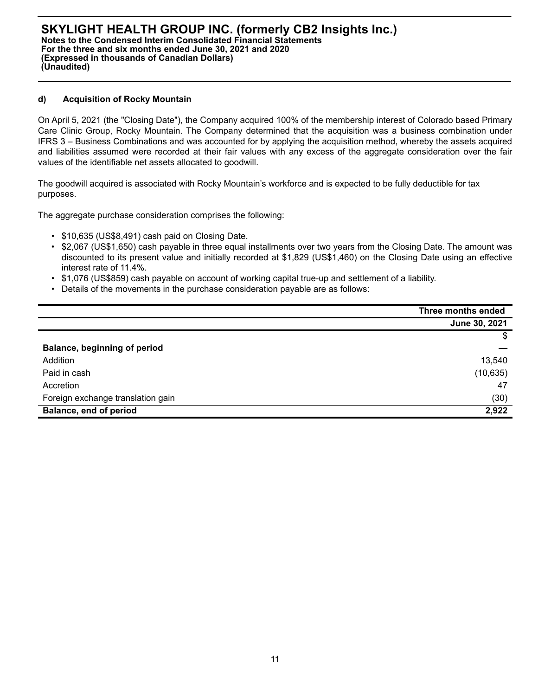### **d) Acquisition of Rocky Mountain**

On April 5, 2021 (the "Closing Date"), the Company acquired 100% of the membership interest of Colorado based Primary Care Clinic Group, Rocky Mountain. The Company determined that the acquisition was a business combination under IFRS 3 – Business Combinations and was accounted for by applying the acquisition method, whereby the assets acquired and liabilities assumed were recorded at their fair values with any excess of the aggregate consideration over the fair values of the identifiable net assets allocated to goodwill.

The goodwill acquired is associated with Rocky Mountain's workforce and is expected to be fully deductible for tax purposes.

The aggregate purchase consideration comprises the following:

- \$10,635 (US\$8,491) cash paid on Closing Date.
- \$2,067 (US\$1,650) cash payable in three equal installments over two years from the Closing Date. The amount was discounted to its present value and initially recorded at \$1,829 (US\$1,460) on the Closing Date using an effective interest rate of 11.4%.
- \$1,076 (US\$859) cash payable on account of working capital true-up and settlement of a liability.
- Details of the movements in the purchase consideration payable are as follows:

|                                     | Three months ended |
|-------------------------------------|--------------------|
|                                     | June 30, 2021      |
|                                     | \$                 |
| <b>Balance, beginning of period</b> |                    |
| Addition                            | 13,540             |
| Paid in cash                        | (10, 635)          |
| Accretion                           | 47                 |
| Foreign exchange translation gain   | (30)               |
| <b>Balance, end of period</b>       | 2,922              |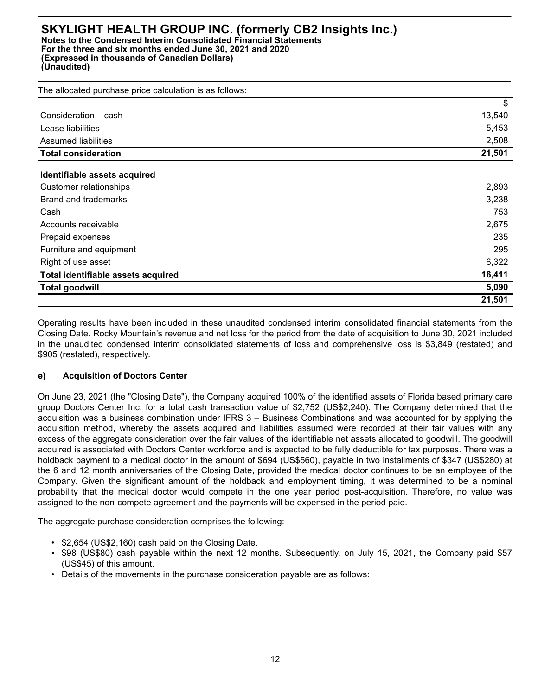## **SKYLIGHT HEALTH GROUP INC. (formerly CB2 Insights Inc.) Notes to the Condensed Interim Consolidated Financial Statements**

**For the three and six months ended June 30, 2021 and 2020 (Expressed in thousands of Canadian Dollars) (Unaudited)**

| $\$\$  |
|--------|
| 13,540 |
| 5,453  |
| 2,508  |
| 21,501 |
|        |
| 2,893  |
| 3,238  |
| 753    |
| 2,675  |
| 235    |
| 295    |
| 6,322  |
| 16,411 |
| 5,090  |
| 21,501 |
|        |

Operating results have been included in these unaudited condensed interim consolidated financial statements from the Closing Date. Rocky Mountain's revenue and net loss for the period from the date of acquisition to June 30, 2021 included in the unaudited condensed interim consolidated statements of loss and comprehensive loss is \$3,849 (restated) and \$905 (restated), respectively.

# **e) Acquisition of Doctors Center**

On June 23, 2021 (the "Closing Date"), the Company acquired 100% of the identified assets of Florida based primary care group Doctors Center Inc. for a total cash transaction value of \$2,752 (US\$2,240). The Company determined that the acquisition was a business combination under IFRS 3 – Business Combinations and was accounted for by applying the acquisition method, whereby the assets acquired and liabilities assumed were recorded at their fair values with any excess of the aggregate consideration over the fair values of the identifiable net assets allocated to goodwill. The goodwill acquired is associated with Doctors Center workforce and is expected to be fully deductible for tax purposes. There was a holdback payment to a medical doctor in the amount of \$694 (US\$560), payable in two installments of \$347 (US\$280) at the 6 and 12 month anniversaries of the Closing Date, provided the medical doctor continues to be an employee of the Company. Given the significant amount of the holdback and employment timing, it was determined to be a nominal probability that the medical doctor would compete in the one year period post-acquisition. Therefore, no value was assigned to the non-compete agreement and the payments will be expensed in the period paid.

The aggregate purchase consideration comprises the following:

- \$2,654 (US\$2,160) cash paid on the Closing Date.
- \$98 (US\$80) cash payable within the next 12 months. Subsequently, on July 15, 2021, the Company paid \$57 (US\$45) of this amount.
- Details of the movements in the purchase consideration payable are as follows: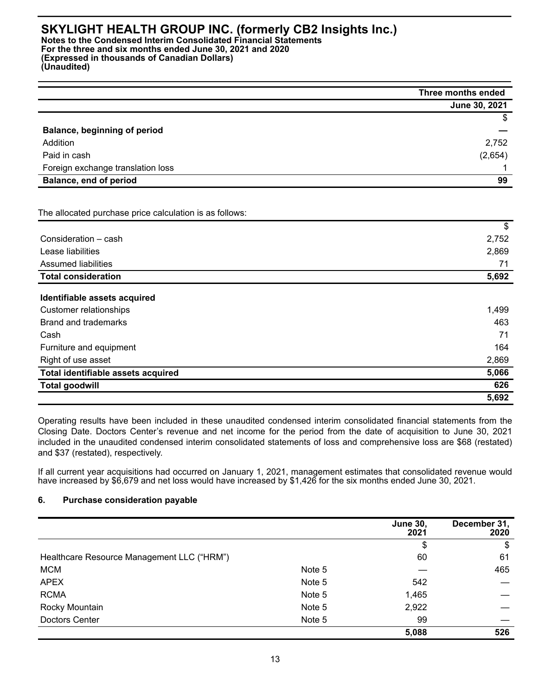**Notes to the Condensed Interim Consolidated Financial Statements For the three and six months ended June 30, 2021 and 2020 (Expressed in thousands of Canadian Dollars) (Unaudited)**

|                                     | Three months ended |
|-------------------------------------|--------------------|
|                                     | June 30, 2021      |
|                                     | \$                 |
| <b>Balance, beginning of period</b> |                    |
| Addition                            | 2,752              |
| Paid in cash                        | (2,654)            |
| Foreign exchange translation loss   |                    |
| <b>Balance, end of period</b>       | 99                 |

The allocated purchase price calculation is as follows:

| <b>Total consideration</b> | 5,692 |
|----------------------------|-------|
| Assumed liabilities        | 71    |
| Lease liabilities          | 2,869 |
| Consideration - cash       | 2,752 |
|                            | \$    |

# **Identifiable assets acquired**

|                                    | 5,692 |
|------------------------------------|-------|
| <b>Total goodwill</b>              | 626   |
| Total identifiable assets acquired | 5,066 |
| Right of use asset                 | 2,869 |
| Furniture and equipment            | 164   |
| Cash                               | 71    |
| Brand and trademarks               | 463   |
| Customer relationships             | 1,499 |
| <u>inelimianic assers acquired</u> |       |

Operating results have been included in these unaudited condensed interim consolidated financial statements from the Closing Date. Doctors Center's revenue and net income for the period from the date of acquisition to June 30, 2021 included in the unaudited condensed interim consolidated statements of loss and comprehensive loss are \$68 (restated) and \$37 (restated), respectively.

If all current year acquisitions had occurred on January 1, 2021, management estimates that consolidated revenue would have increased by \$6,679 and net loss would have increased by \$1,426 for the six months ended June 30, 2021.

#### **6. Purchase consideration payable**

|                                            |        | <b>June 30,</b><br>2021 | December 31,<br>2020 |
|--------------------------------------------|--------|-------------------------|----------------------|
|                                            |        | \$                      | \$                   |
| Healthcare Resource Management LLC ("HRM") |        | 60                      | 61                   |
| <b>MCM</b>                                 | Note 5 |                         | 465                  |
| <b>APEX</b>                                | Note 5 | 542                     |                      |
| <b>RCMA</b>                                | Note 5 | 1,465                   |                      |
| Rocky Mountain                             | Note 5 | 2,922                   |                      |
| Doctors Center                             | Note 5 | 99                      |                      |
|                                            |        | 5,088                   | 526                  |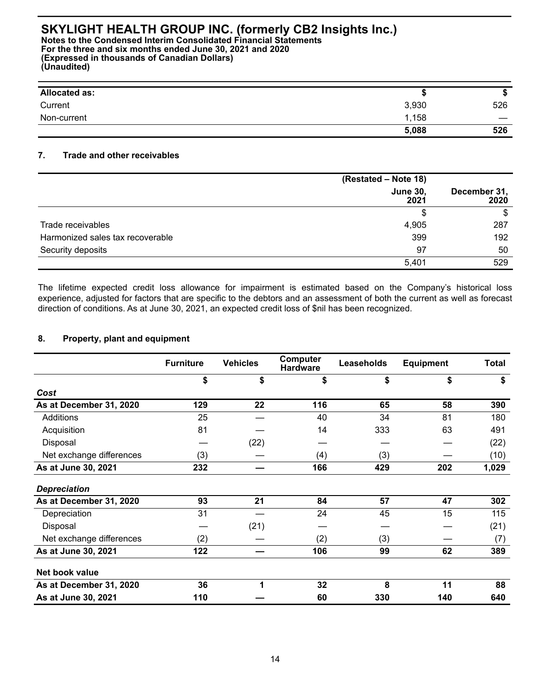**Notes to the Condensed Interim Consolidated Financial Statements For the three and six months ended June 30, 2021 and 2020 (Expressed in thousands of Canadian Dollars) (Unaudited)**

| <b>Allocated as:</b> |       | D                        |
|----------------------|-------|--------------------------|
| Current              | 3,930 | 526                      |
| Non-current          | 1,158 | $\overline{\phantom{0}}$ |
|                      | 5,088 | 526                      |

# **7. Trade and other receivables**

|                                  | (Restated – Note 18)    |                      |
|----------------------------------|-------------------------|----------------------|
|                                  | <b>June 30,</b><br>2021 | December 31,<br>2020 |
|                                  | S                       | \$                   |
| Trade receivables                | 4,905                   | 287                  |
| Harmonized sales tax recoverable | 399                     | 192                  |
| Security deposits                | 97                      | 50                   |
|                                  | 5,401                   | 529                  |

The lifetime expected credit loss allowance for impairment is estimated based on the Company's historical loss experience, adjusted for factors that are specific to the debtors and an assessment of both the current as well as forecast direction of conditions. As at June 30, 2021, an expected credit loss of \$nil has been recognized.

## **8. Property, plant and equipment**

|                          | <b>Furniture</b> | <b>Vehicles</b> | <b>Computer</b><br><b>Hardware</b> | <b>Leaseholds</b> | <b>Equipment</b> | <b>Total</b> |
|--------------------------|------------------|-----------------|------------------------------------|-------------------|------------------|--------------|
|                          | \$               | \$              | \$                                 | \$                | \$               | \$           |
| Cost                     |                  |                 |                                    |                   |                  |              |
| As at December 31, 2020  | 129              | 22              | 116                                | 65                | 58               | 390          |
| Additions                | 25               |                 | 40                                 | 34                | 81               | 180          |
| Acquisition              | 81               |                 | 14                                 | 333               | 63               | 491          |
| Disposal                 |                  | (22)            |                                    |                   |                  | (22)         |
| Net exchange differences | (3)              |                 | (4)                                | (3)               |                  | (10)         |
| As at June 30, 2021      | 232              |                 | 166                                | 429               | 202              | 1,029        |
| <b>Depreciation</b>      |                  |                 |                                    |                   |                  |              |
| As at December 31, 2020  | 93               | 21              | 84                                 | 57                | 47               | 302          |
| Depreciation             | 31               |                 | 24                                 | 45                | 15               | 115          |
| Disposal                 |                  | (21)            |                                    |                   |                  | (21)         |
| Net exchange differences | (2)              |                 | (2)                                | (3)               |                  | (7)          |
| As at June 30, 2021      | 122              |                 | 106                                | 99                | 62               | 389          |
| Net book value           |                  |                 |                                    |                   |                  |              |
| As at December 31, 2020  | 36               | 4               | 32                                 | 8                 | 11               | 88           |
| As at June 30, 2021      | 110              |                 | 60                                 | 330               | 140              | 640          |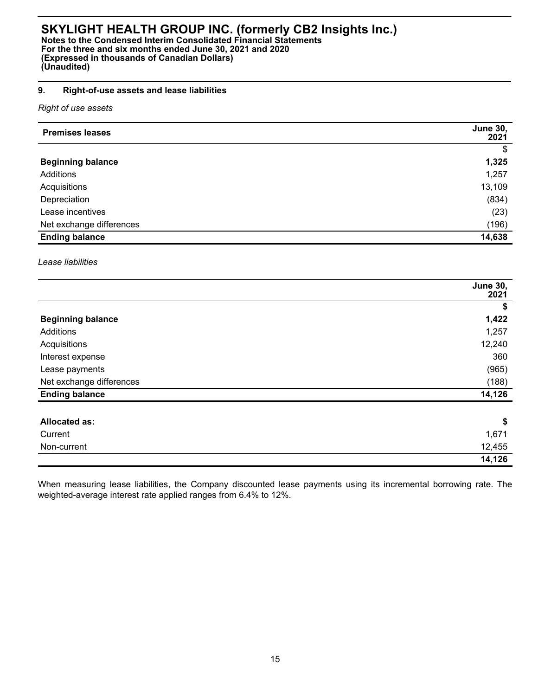### **9. Right-of-use assets and lease liabilities**

*Right of use assets*

| <b>Premises leases</b>   | <b>June 30,</b><br>2021 |
|--------------------------|-------------------------|
|                          | $\mathcal{S}$           |
| <b>Beginning balance</b> | 1,325                   |
| Additions                | 1,257                   |
| Acquisitions             | 13,109                  |
| Depreciation             | (834)                   |
| Lease incentives         | (23)                    |
| Net exchange differences | (196)                   |
| <b>Ending balance</b>    | 14,638                  |

*Lease liabilities*

|                          | <b>June 30,</b><br>2021 |
|--------------------------|-------------------------|
|                          | \$                      |
| <b>Beginning balance</b> | 1,422                   |
| Additions                | 1,257                   |
| Acquisitions             | 12,240                  |
| Interest expense         | 360                     |
| Lease payments           | (965)                   |
| Net exchange differences | (188)                   |
| <b>Ending balance</b>    | 14,126                  |
| <b>Allocated as:</b>     | \$                      |
| Current                  | 1,671                   |
| Non-current              | 12,455                  |
|                          | 14,126                  |

When measuring lease liabilities, the Company discounted lease payments using its incremental borrowing rate. The weighted-average interest rate applied ranges from 6.4% to 12%.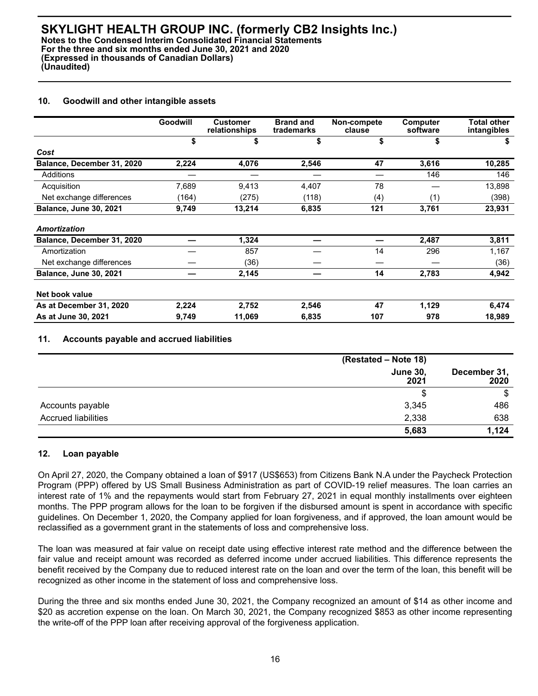## **10. Goodwill and other intangible assets**

|                               | Goodwill | <b>Customer</b><br>relationships | <b>Brand and</b><br>trademarks | Non-compete<br>clause | Computer<br>software | Total other<br>intangibles |
|-------------------------------|----------|----------------------------------|--------------------------------|-----------------------|----------------------|----------------------------|
|                               | \$       | \$                               | \$                             | \$                    | S                    | \$                         |
| Cost                          |          |                                  |                                |                       |                      |                            |
| Balance, December 31, 2020    | 2,224    | 4,076                            | 2,546                          | 47                    | 3,616                | 10,285                     |
| Additions                     |          |                                  |                                |                       | 146                  | 146                        |
| Acquisition                   | 7,689    | 9,413                            | 4,407                          | 78                    |                      | 13,898                     |
| Net exchange differences      | (164)    | (275)                            | (118)                          | (4)                   | (1)                  | (398)                      |
| <b>Balance, June 30, 2021</b> | 9,749    | 13,214                           | 6,835                          | 121                   | 3,761                | 23,931                     |
| Amortization                  |          |                                  |                                |                       |                      |                            |
| Balance, December 31, 2020    |          | 1,324                            |                                |                       | 2,487                | 3,811                      |
| Amortization                  |          | 857                              |                                | 14                    | 296                  | 1,167                      |
| Net exchange differences      |          | (36)                             |                                |                       |                      | (36)                       |
| <b>Balance, June 30, 2021</b> |          | 2,145                            |                                | 14                    | 2,783                | 4,942                      |
| Net book value                |          |                                  |                                |                       |                      |                            |
| As at December 31, 2020       | 2,224    | 2,752                            | 2,546                          | 47                    | 1,129                | 6,474                      |
| As at June 30, 2021           | 9,749    | 11,069                           | 6,835                          | 107                   | 978                  | 18,989                     |

### **11. Accounts payable and accrued liabilities**

|                            | (Restated – Note 18)    |                      |
|----------------------------|-------------------------|----------------------|
|                            | <b>June 30,</b><br>2021 | December 31,<br>2020 |
|                            | \$                      | \$                   |
| Accounts payable           | 3,345                   | 486                  |
| <b>Accrued liabilities</b> | 2,338                   | 638                  |
|                            | 5,683                   | 1,124                |

### **12. Loan payable**

On April 27, 2020, the Company obtained a loan of \$917 (US\$653) from Citizens Bank N.A under the Paycheck Protection Program (PPP) offered by US Small Business Administration as part of COVID-19 relief measures. The loan carries an interest rate of 1% and the repayments would start from February 27, 2021 in equal monthly installments over eighteen months. The PPP program allows for the loan to be forgiven if the disbursed amount is spent in accordance with specific guidelines. On December 1, 2020, the Company applied for loan forgiveness, and if approved, the loan amount would be reclassified as a government grant in the statements of loss and comprehensive loss.

The loan was measured at fair value on receipt date using effective interest rate method and the difference between the fair value and receipt amount was recorded as deferred income under accrued liabilities. This difference represents the benefit received by the Company due to reduced interest rate on the loan and over the term of the loan, this benefit will be recognized as other income in the statement of loss and comprehensive loss.

During the three and six months ended June 30, 2021, the Company recognized an amount of \$14 as other income and \$20 as accretion expense on the loan. On March 30, 2021, the Company recognized \$853 as other income representing the write-off of the PPP loan after receiving approval of the forgiveness application.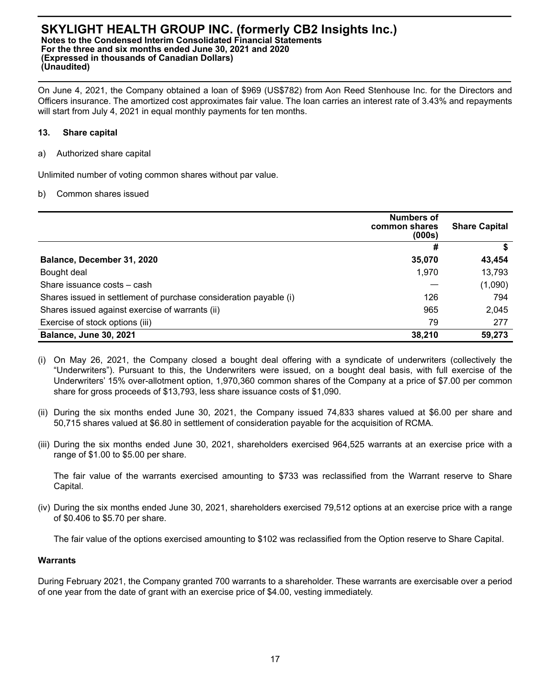On June 4, 2021, the Company obtained a loan of \$969 (US\$782) from Aon Reed Stenhouse Inc. for the Directors and Officers insurance. The amortized cost approximates fair value. The loan carries an interest rate of 3.43% and repayments will start from July 4, 2021 in equal monthly payments for ten months.

### **13. Share capital**

a) Authorized share capital

Unlimited number of voting common shares without par value.

### b) Common shares issued

|                                                                   | Numbers of<br>common shares<br>(000s) | <b>Share Capital</b> |
|-------------------------------------------------------------------|---------------------------------------|----------------------|
|                                                                   | #                                     | S                    |
| Balance, December 31, 2020                                        | 35,070                                | 43,454               |
| Bought deal                                                       | 1.970                                 | 13,793               |
| Share issuance costs - cash                                       |                                       | (1,090)              |
| Shares issued in settlement of purchase consideration payable (i) | 126                                   | 794                  |
| Shares issued against exercise of warrants (ii)                   | 965                                   | 2,045                |
| Exercise of stock options (iii)                                   | 79                                    | 277                  |
| <b>Balance, June 30, 2021</b>                                     | 38,210                                | 59,273               |

- (i) On May 26, 2021, the Company closed a bought deal offering with a syndicate of underwriters (collectively the "Underwriters"). Pursuant to this, the Underwriters were issued, on a bought deal basis, with full exercise of the Underwriters' 15% over-allotment option, 1,970,360 common shares of the Company at a price of \$7.00 per common share for gross proceeds of \$13,793, less share issuance costs of \$1,090.
- (ii) During the six months ended June 30, 2021, the Company issued 74,833 shares valued at \$6.00 per share and 50,715 shares valued at \$6.80 in settlement of consideration payable for the acquisition of RCMA.
- (iii) During the six months ended June 30, 2021, shareholders exercised 964,525 warrants at an exercise price with a range of \$1.00 to \$5.00 per share.

The fair value of the warrants exercised amounting to \$733 was reclassified from the Warrant reserve to Share Capital.

(iv) During the six months ended June 30, 2021, shareholders exercised 79,512 options at an exercise price with a range of \$0.406 to \$5.70 per share.

The fair value of the options exercised amounting to \$102 was reclassified from the Option reserve to Share Capital.

## **Warrants**

During February 2021, the Company granted 700 warrants to a shareholder. These warrants are exercisable over a period of one year from the date of grant with an exercise price of \$4.00, vesting immediately.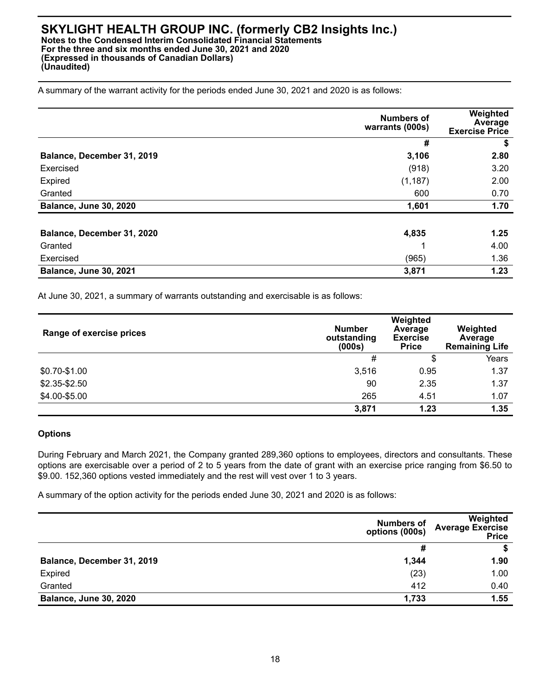#### **SKYLIGHT HEALTH GROUP INC. (formerly CB2 Insights Inc.) Notes to the Condensed Interim Consolidated Financial Statements For the three and six months ended June 30, 2021 and 2020 (Expressed in thousands of Canadian Dollars) (Unaudited)**

A summary of the warrant activity for the periods ended June 30, 2021 and 2020 is as follows:

|                               | <b>Numbers of</b><br>warrants (000s) | Weighted<br>Average<br><b>Exercise Price</b> |
|-------------------------------|--------------------------------------|----------------------------------------------|
|                               | #                                    | \$                                           |
| Balance, December 31, 2019    | 3,106                                | 2.80                                         |
| Exercised                     | (918)                                | 3.20                                         |
| Expired                       | (1, 187)                             | 2.00                                         |
| Granted                       | 600                                  | 0.70                                         |
| <b>Balance, June 30, 2020</b> | 1,601                                | 1.70                                         |
| Balance, December 31, 2020    | 4,835                                | 1.25                                         |
| Granted                       | 1                                    | 4.00                                         |
| Exercised                     | (965)                                | 1.36                                         |
| <b>Balance, June 30, 2021</b> | 3,871                                | 1.23                                         |

At June 30, 2021, a summary of warrants outstanding and exercisable is as follows:

| Range of exercise prices | <b>Number</b><br>outstanding<br>(000s) | Weighted<br>Average<br><b>Exercise</b><br><b>Price</b> | Weighted<br>Average<br><b>Remaining Life</b> |
|--------------------------|----------------------------------------|--------------------------------------------------------|----------------------------------------------|
|                          | #                                      | \$                                                     | Years                                        |
| \$0.70-\$1.00            | 3,516                                  | 0.95                                                   | 1.37                                         |
| \$2.35-\$2.50            | 90                                     | 2.35                                                   | 1.37                                         |
| \$4.00-\$5.00            | 265                                    | 4.51                                                   | 1.07                                         |
|                          | 3,871                                  | 1.23                                                   | 1.35                                         |

### **Options**

During February and March 2021, the Company granted 289,360 options to employees, directors and consultants. These options are exercisable over a period of 2 to 5 years from the date of grant with an exercise price ranging from \$6.50 to \$9.00. 152,360 options vested immediately and the rest will vest over 1 to 3 years.

A summary of the option activity for the periods ended June 30, 2021 and 2020 is as follows:

|                               | <b>Numbers of</b><br>options (000s) | Weighted<br><b>Average Exercise</b><br><b>Price</b> |
|-------------------------------|-------------------------------------|-----------------------------------------------------|
|                               | #                                   | S                                                   |
| Balance, December 31, 2019    | 1,344                               | 1.90                                                |
| Expired                       | (23)                                | 1.00                                                |
| Granted                       | 412                                 | 0.40                                                |
| <b>Balance, June 30, 2020</b> | 1,733                               | 1.55                                                |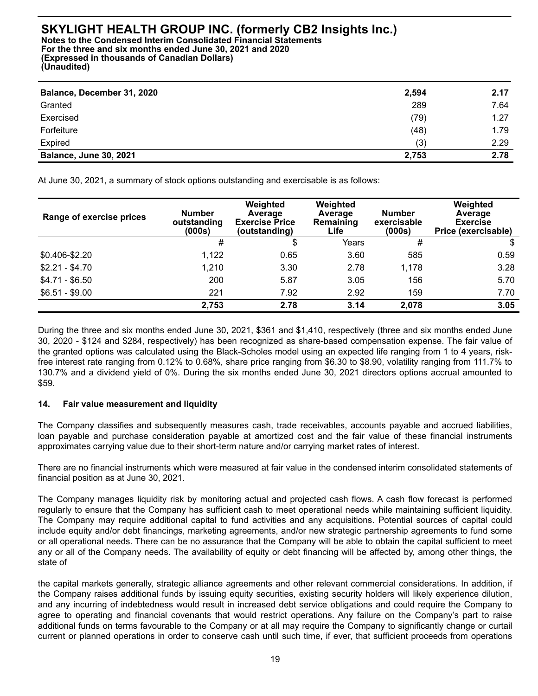### **SKYLIGHT HEALTH GROUP INC. (formerly CB2 Insights Inc.) Notes to the Condensed Interim Consolidated Financial Statements For the three and six months ended June 30, 2021 and 2020 (Expressed in thousands of Canadian Dollars) (Unaudited)**

| Balance, December 31, 2020    | 2.594 | 2.17 |
|-------------------------------|-------|------|
| Granted                       | 289   | 7.64 |
| Exercised                     | (79)  | 1.27 |
| Forfeiture                    | (48)  | 1.79 |
| Expired                       | (3)   | 2.29 |
| <b>Balance, June 30, 2021</b> | 2.753 | 2.78 |

At June 30, 2021, a summary of stock options outstanding and exercisable is as follows:

| Range of exercise prices | <b>Number</b><br>outstanding<br>(000s) | Weighted<br>Average<br><b>Exercise Price</b><br>(outstanding) | Weighted<br>Average<br><b>Remaining</b><br>Life | <b>Number</b><br>exercisable<br>(000s) | Weighted<br>Average<br><b>Exercise</b><br>Price (exercisable) |
|--------------------------|----------------------------------------|---------------------------------------------------------------|-------------------------------------------------|----------------------------------------|---------------------------------------------------------------|
|                          | #                                      | \$                                                            | Years                                           | #                                      | \$                                                            |
| \$0.406-\$2.20           | 1,122                                  | 0.65                                                          | 3.60                                            | 585                                    | 0.59                                                          |
| $$2.21 - $4.70$          | 1,210                                  | 3.30                                                          | 2.78                                            | 1,178                                  | 3.28                                                          |
| $$4.71 - $6.50$          | 200                                    | 5.87                                                          | 3.05                                            | 156                                    | 5.70                                                          |
| $$6.51 - $9.00$          | 221                                    | 7.92                                                          | 2.92                                            | 159                                    | 7.70                                                          |
|                          | 2,753                                  | 2.78                                                          | 3.14                                            | 2,078                                  | 3.05                                                          |

During the three and six months ended June 30, 2021, \$361 and \$1,410, respectively (three and six months ended June 30, 2020 - \$124 and \$284, respectively) has been recognized as share-based compensation expense. The fair value of the granted options was calculated using the Black-Scholes model using an expected life ranging from 1 to 4 years, riskfree interest rate ranging from 0.12% to 0.68%, share price ranging from \$6.30 to \$8.90, volatility ranging from 111.7% to 130.7% and a dividend yield of 0%. During the six months ended June 30, 2021 directors options accrual amounted to \$59.

## **14. Fair value measurement and liquidity**

The Company classifies and subsequently measures cash, trade receivables, accounts payable and accrued liabilities, loan payable and purchase consideration payable at amortized cost and the fair value of these financial instruments approximates carrying value due to their short-term nature and/or carrying market rates of interest.

There are no financial instruments which were measured at fair value in the condensed interim consolidated statements of financial position as at June 30, 2021.

The Company manages liquidity risk by monitoring actual and projected cash flows. A cash flow forecast is performed regularly to ensure that the Company has sufficient cash to meet operational needs while maintaining sufficient liquidity. The Company may require additional capital to fund activities and any acquisitions. Potential sources of capital could include equity and/or debt financings, marketing agreements, and/or new strategic partnership agreements to fund some or all operational needs. There can be no assurance that the Company will be able to obtain the capital sufficient to meet any or all of the Company needs. The availability of equity or debt financing will be affected by, among other things, the state of

the capital markets generally, strategic alliance agreements and other relevant commercial considerations. In addition, if the Company raises additional funds by issuing equity securities, existing security holders will likely experience dilution, and any incurring of indebtedness would result in increased debt service obligations and could require the Company to agree to operating and financial covenants that would restrict operations. Any failure on the Company's part to raise additional funds on terms favourable to the Company or at all may require the Company to significantly change or curtail current or planned operations in order to conserve cash until such time, if ever, that sufficient proceeds from operations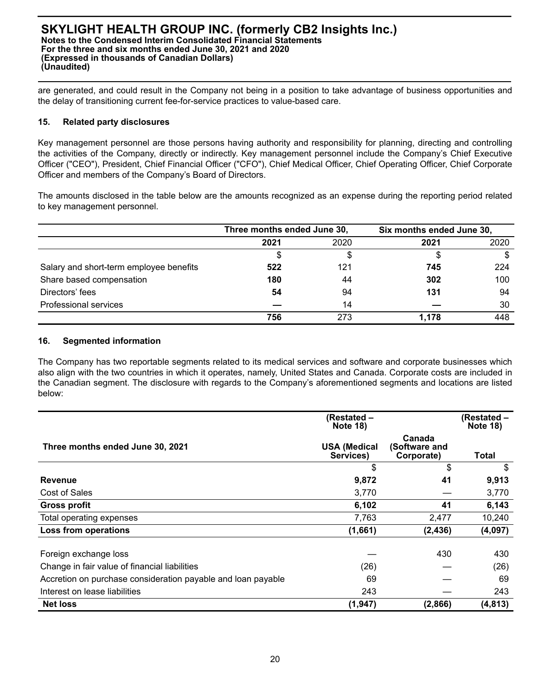are generated, and could result in the Company not being in a position to take advantage of business opportunities and the delay of transitioning current fee-for-service practices to value-based care.

### **15. Related party disclosures**

Key management personnel are those persons having authority and responsibility for planning, directing and controlling the activities of the Company, directly or indirectly. Key management personnel include the Company's Chief Executive Officer ("CEO"), President, Chief Financial Officer ("CFO"), Chief Medical Officer, Chief Operating Officer, Chief Corporate Officer and members of the Company's Board of Directors.

The amounts disclosed in the table below are the amounts recognized as an expense during the reporting period related to key management personnel.

|                                         | Three months ended June 30, |      | Six months ended June 30, |      |
|-----------------------------------------|-----------------------------|------|---------------------------|------|
|                                         | 2021                        | 2020 | 2021                      | 2020 |
|                                         | \$                          |      |                           |      |
| Salary and short-term employee benefits | 522                         | 121  | 745                       | 224  |
| Share based compensation                | 180                         | 44   | 302                       | 100  |
| Directors' fees                         | 54                          | 94   | 131                       | 94   |
| Professional services                   |                             | 14   |                           | 30   |
|                                         | 756                         | 273  | 1.178                     | 448  |

### **16. Segmented information**

The Company has two reportable segments related to its medical services and software and corporate businesses which also align with the two countries in which it operates, namely, United States and Canada. Corporate costs are included in the Canadian segment. The disclosure with regards to the Company's aforementioned segments and locations are listed below:

|                                                              | (Restated -<br><b>Note 18)</b>   |                                       | (Restated -<br><b>Note 18)</b> |
|--------------------------------------------------------------|----------------------------------|---------------------------------------|--------------------------------|
| Three months ended June 30, 2021                             | <b>USA (Medical</b><br>Services) | Canada<br>(Software and<br>Corporate) | Total                          |
|                                                              | \$                               | \$                                    | \$                             |
| <b>Revenue</b>                                               | 9,872                            | 41                                    | 9,913                          |
| Cost of Sales                                                | 3,770                            |                                       | 3,770                          |
| <b>Gross profit</b>                                          | 6,102                            | 41                                    | 6,143                          |
| Total operating expenses                                     | 7,763                            | 2,477                                 | 10,240                         |
| Loss from operations                                         | (1,661)                          | (2, 436)                              | (4,097)                        |
| Foreign exchange loss                                        |                                  | 430                                   | 430                            |
| Change in fair value of financial liabilities                | (26)                             |                                       | (26)                           |
| Accretion on purchase consideration payable and loan payable | 69                               |                                       | 69                             |
| Interest on lease liabilities                                | 243                              |                                       | 243                            |
| <b>Net loss</b>                                              | (1, 947)                         | (2,866)                               | (4, 813)                       |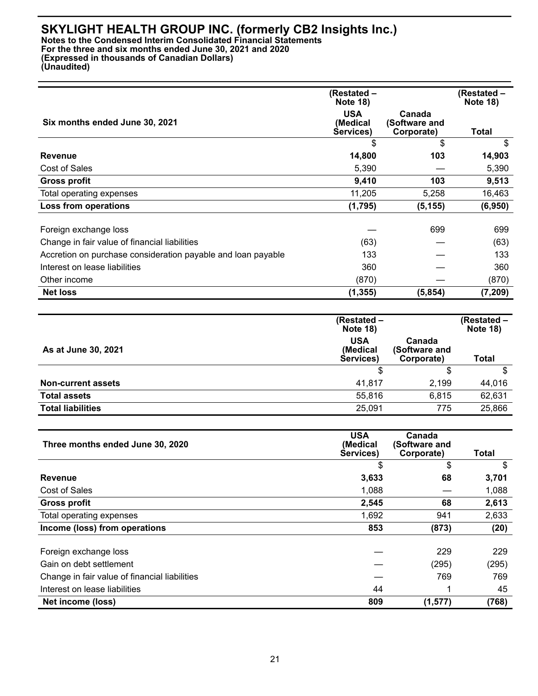**Notes to the Condensed Interim Consolidated Financial Statements For the three and six months ended June 30, 2021 and 2020 (Expressed in thousands of Canadian Dollars) (Unaudited)**

|                                                              | (Restated –<br><b>Note 18)</b>      |                                       | (Restated –<br><b>Note 18)</b> |
|--------------------------------------------------------------|-------------------------------------|---------------------------------------|--------------------------------|
| Six months ended June 30, 2021                               | <b>USA</b><br>(Medical<br>Services) | Canada<br>(Software and<br>Corporate) | Total                          |
|                                                              | S                                   | \$                                    | \$                             |
| <b>Revenue</b>                                               | 14,800                              | 103                                   | 14,903                         |
| Cost of Sales                                                | 5,390                               |                                       | 5,390                          |
| <b>Gross profit</b>                                          | 9,410                               | 103                                   | 9,513                          |
| Total operating expenses                                     | 11,205                              | 5,258                                 | 16,463                         |
| Loss from operations                                         | (1,795)                             | (5, 155)                              | (6,950)                        |
| Foreign exchange loss                                        |                                     | 699                                   | 699                            |
| Change in fair value of financial liabilities                | (63)                                |                                       | (63)                           |
| Accretion on purchase consideration payable and loan payable | 133                                 |                                       | 133                            |
| Interest on lease liabilities                                | 360                                 |                                       | 360                            |
| Other income                                                 | (870)                               |                                       | (870)                          |
| <b>Net loss</b>                                              | (1, 355)                            | (5, 854)                              | (7, 209)                       |

|                           | (Restated –<br><b>Note 18)</b>      |                                       | (Restated –<br><b>Note 18)</b> |
|---------------------------|-------------------------------------|---------------------------------------|--------------------------------|
| As at June 30, 2021       | <b>USA</b><br>(Medical<br>Services) | Canada<br>(Software and<br>Corporate) | <b>Total</b>                   |
|                           | S                                   |                                       | \$                             |
| <b>Non-current assets</b> | 41,817                              | 2,199                                 | 44,016                         |
| <b>Total assets</b>       | 55,816                              | 6.815                                 | 62,631                         |
| <b>Total liabilities</b>  | 25,091                              | 775                                   | 25,866                         |

| Three months ended June 30, 2020              | <b>USA</b><br>(Medical | Canada<br>(Software and |       |
|-----------------------------------------------|------------------------|-------------------------|-------|
|                                               | Services)              | Corporate)              | Total |
|                                               | \$                     | \$                      | \$    |
| <b>Revenue</b>                                | 3,633                  | 68                      | 3,701 |
| Cost of Sales                                 | 1,088                  |                         | 1,088 |
| <b>Gross profit</b>                           | 2,545                  | 68                      | 2,613 |
| Total operating expenses                      | 1,692                  | 941                     | 2,633 |
| Income (loss) from operations                 | 853                    | (873)                   | (20)  |
|                                               |                        |                         |       |
| Foreign exchange loss                         |                        | 229                     | 229   |
| Gain on debt settlement                       |                        | (295)                   | (295) |
| Change in fair value of financial liabilities |                        | 769                     | 769   |
| Interest on lease liabilities                 | 44                     |                         | 45    |
| Net income (loss)                             | 809                    | (1, 577)                | (768) |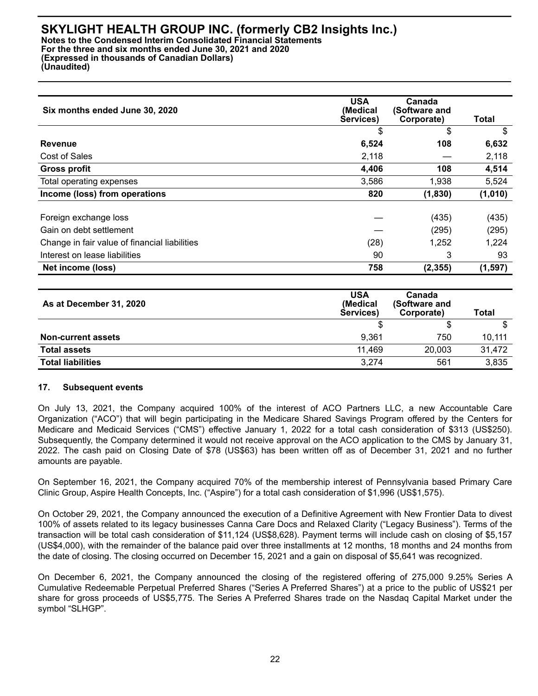**Notes to the Condensed Interim Consolidated Financial Statements For the three and six months ended June 30, 2021 and 2020 (Expressed in thousands of Canadian Dollars) (Unaudited)**

| Six months ended June 30, 2020                | <b>USA</b><br>(Medical<br>Services) | Canada<br>(Software and<br>Corporate) | <b>Total</b> |
|-----------------------------------------------|-------------------------------------|---------------------------------------|--------------|
|                                               | \$                                  | \$                                    | \$           |
| Revenue                                       | 6,524                               | 108                                   | 6,632        |
| Cost of Sales                                 | 2,118                               |                                       | 2,118        |
| Gross profit                                  | 4,406                               | 108                                   | 4,514        |
| Total operating expenses                      | 3,586                               | 1,938                                 | 5,524        |
| Income (loss) from operations                 | 820                                 | (1,830)                               | (1,010)      |
| Foreign exchange loss                         |                                     | (435)                                 | (435)        |
| Gain on debt settlement                       |                                     | (295)                                 | (295)        |
| Change in fair value of financial liabilities | (28)                                | 1,252                                 | 1,224        |
| Interest on lease liabilities                 | 90                                  | 3                                     | 93           |
| Net income (loss)                             | 758                                 | (2, 355)                              | (1, 597)     |

| As at December 31, 2020   | <b>USA</b><br>(Medical<br>Services) | Canada<br>(Software and<br>Corporate) | Total  |
|---------------------------|-------------------------------------|---------------------------------------|--------|
|                           |                                     |                                       |        |
| <b>Non-current assets</b> | 9,361                               | 750                                   | 10,111 |
| <b>Total assets</b>       | 11,469                              | 20,003                                | 31,472 |
| <b>Total liabilities</b>  | 3,274                               | 561                                   | 3,835  |

## **17. Subsequent events**

On July 13, 2021, the Company acquired 100% of the interest of ACO Partners LLC, a new Accountable Care Organization ("ACO") that will begin participating in the Medicare Shared Savings Program offered by the Centers for Medicare and Medicaid Services ("CMS") effective January 1, 2022 for a total cash consideration of \$313 (US\$250). Subsequently, the Company determined it would not receive approval on the ACO application to the CMS by January 31, 2022. The cash paid on Closing Date of \$78 (US\$63) has been written off as of December 31, 2021 and no further amounts are payable.

On September 16, 2021, the Company acquired 70% of the membership interest of Pennsylvania based Primary Care Clinic Group, Aspire Health Concepts, Inc. ("Aspire") for a total cash consideration of \$1,996 (US\$1,575).

On October 29, 2021, the Company announced the execution of a Definitive Agreement with New Frontier Data to divest 100% of assets related to its legacy businesses Canna Care Docs and Relaxed Clarity ("Legacy Business"). Terms of the transaction will be total cash consideration of \$11,124 (US\$8,628). Payment terms will include cash on closing of \$5,157 (US\$4,000), with the remainder of the balance paid over three installments at 12 months, 18 months and 24 months from the date of closing. The closing occurred on December 15, 2021 and a gain on disposal of \$5,641 was recognized.

On December 6, 2021, the Company announced the closing of the registered offering of 275,000 9.25% Series A Cumulative Redeemable Perpetual Preferred Shares ("Series A Preferred Shares") at a price to the public of US\$21 per share for gross proceeds of US\$5,775. The Series A Preferred Shares trade on the Nasdaq Capital Market under the symbol "SLHGP".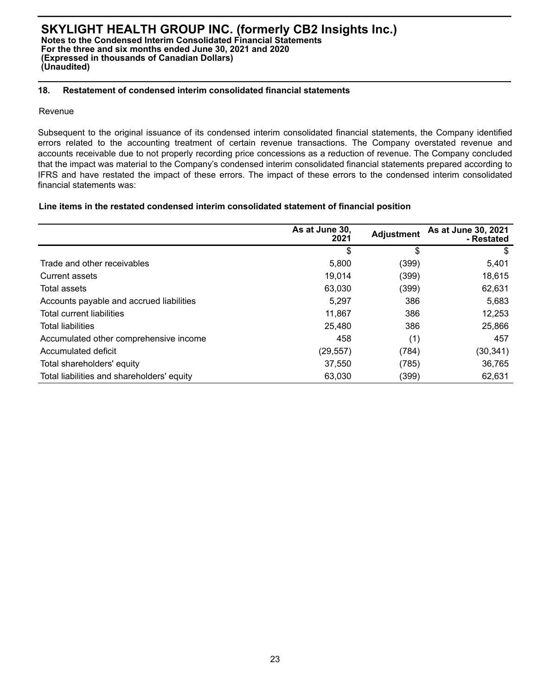### **18. Restatement of condensed interim consolidated financial statements**

#### Revenue

Subsequent to the original issuance of its condensed interim consolidated financial statements, the Company identified errors related to the accounting treatment of certain revenue transactions. The Company overstated revenue and accounts receivable due to not properly recording price concessions as a reduction of revenue. The Company concluded that the impact was material to the Company's condensed interim consolidated financial statements prepared according to IFRS and have restated the impact of these errors. The impact of these errors to the condensed interim consolidated financial statements was:

#### **Line items in the restated condensed interim consolidated statement of financial position**

|                                            | As at June 30.<br>2021 | <b>Adjustment</b> | As at June 30, 2021<br>- Restated |
|--------------------------------------------|------------------------|-------------------|-----------------------------------|
|                                            | \$                     | \$                | \$                                |
| Trade and other receivables                | 5,800                  | (399)             | 5,401                             |
| <b>Current assets</b>                      | 19,014                 | (399)             | 18,615                            |
| Total assets                               | 63,030                 | (399)             | 62,631                            |
| Accounts payable and accrued liabilities   | 5.297                  | 386               | 5,683                             |
| <b>Total current liabilities</b>           | 11,867                 | 386               | 12,253                            |
| <b>Total liabilities</b>                   | 25,480                 | 386               | 25,866                            |
| Accumulated other comprehensive income     | 458                    | (1)               | 457                               |
| Accumulated deficit                        | (29, 557)              | (784)             | (30, 341)                         |
| Total shareholders' equity                 | 37,550                 | (785)             | 36,765                            |
| Total liabilities and shareholders' equity | 63,030                 | (399)             | 62,631                            |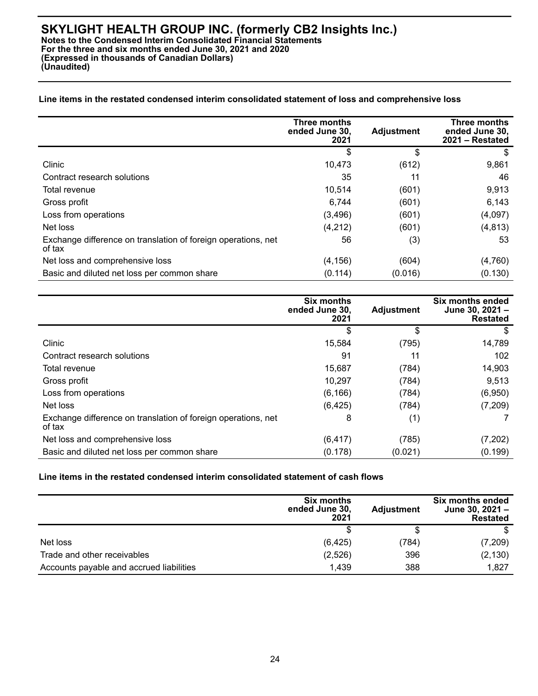### **Line items in the restated condensed interim consolidated statement of loss and comprehensive loss**

|                                                                         | Three months<br>ended June 30,<br>2021 | <b>Adjustment</b> | Three months<br>ended June 30,<br>2021 - Restated |
|-------------------------------------------------------------------------|----------------------------------------|-------------------|---------------------------------------------------|
|                                                                         | \$                                     | \$                | S.                                                |
| Clinic                                                                  | 10.473                                 | (612)             | 9,861                                             |
| Contract research solutions                                             | 35                                     | 11                | 46                                                |
| Total revenue                                                           | 10,514                                 | (601)             | 9,913                                             |
| Gross profit                                                            | 6,744                                  | (601)             | 6,143                                             |
| Loss from operations                                                    | (3, 496)                               | (601)             | (4,097)                                           |
| Net loss                                                                | (4,212)                                | (601)             | (4, 813)                                          |
| Exchange difference on translation of foreign operations, net<br>of tax | 56                                     | (3)               | 53                                                |
| Net loss and comprehensive loss                                         | (4, 156)                               | (604)             | (4,760)                                           |
| Basic and diluted net loss per common share                             | (0.114)                                | (0.016)           | (0.130)                                           |

|                                                                         | <b>Six months</b><br>ended June 30.<br>2021 | <b>Adjustment</b> | Six months ended<br>June 30, 2021 -<br><b>Restated</b> |
|-------------------------------------------------------------------------|---------------------------------------------|-------------------|--------------------------------------------------------|
|                                                                         |                                             | \$                | S                                                      |
| Clinic                                                                  | 15,584                                      | (795)             | 14,789                                                 |
| Contract research solutions                                             | 91                                          | 11                | 102                                                    |
| Total revenue                                                           | 15,687                                      | (784)             | 14,903                                                 |
| Gross profit                                                            | 10,297                                      | (784)             | 9,513                                                  |
| Loss from operations                                                    | (6, 166)                                    | (784)             | (6,950)                                                |
| Net loss                                                                | (6, 425)                                    | (784)             | (7,209)                                                |
| Exchange difference on translation of foreign operations, net<br>of tax | 8                                           | (1)               |                                                        |
| Net loss and comprehensive loss                                         | (6, 417)                                    | (785)             | (7,202)                                                |
| Basic and diluted net loss per common share                             | (0.178)                                     | (0.021)           | (0.199)                                                |

### **Line items in the restated condensed interim consolidated statement of cash flows**

|                                          | <b>Six months</b><br>ended June 30,<br>2021 | <b>Adjustment</b> | Six months ended<br>June 30, 2021 -<br><b>Restated</b> |
|------------------------------------------|---------------------------------------------|-------------------|--------------------------------------------------------|
|                                          |                                             |                   |                                                        |
| Net loss                                 | (6, 425)                                    | (784)             | (7,209)                                                |
| Trade and other receivables              | (2,526)                                     | 396               | (2, 130)                                               |
| Accounts payable and accrued liabilities | 1.439                                       | 388               | 1,827                                                  |